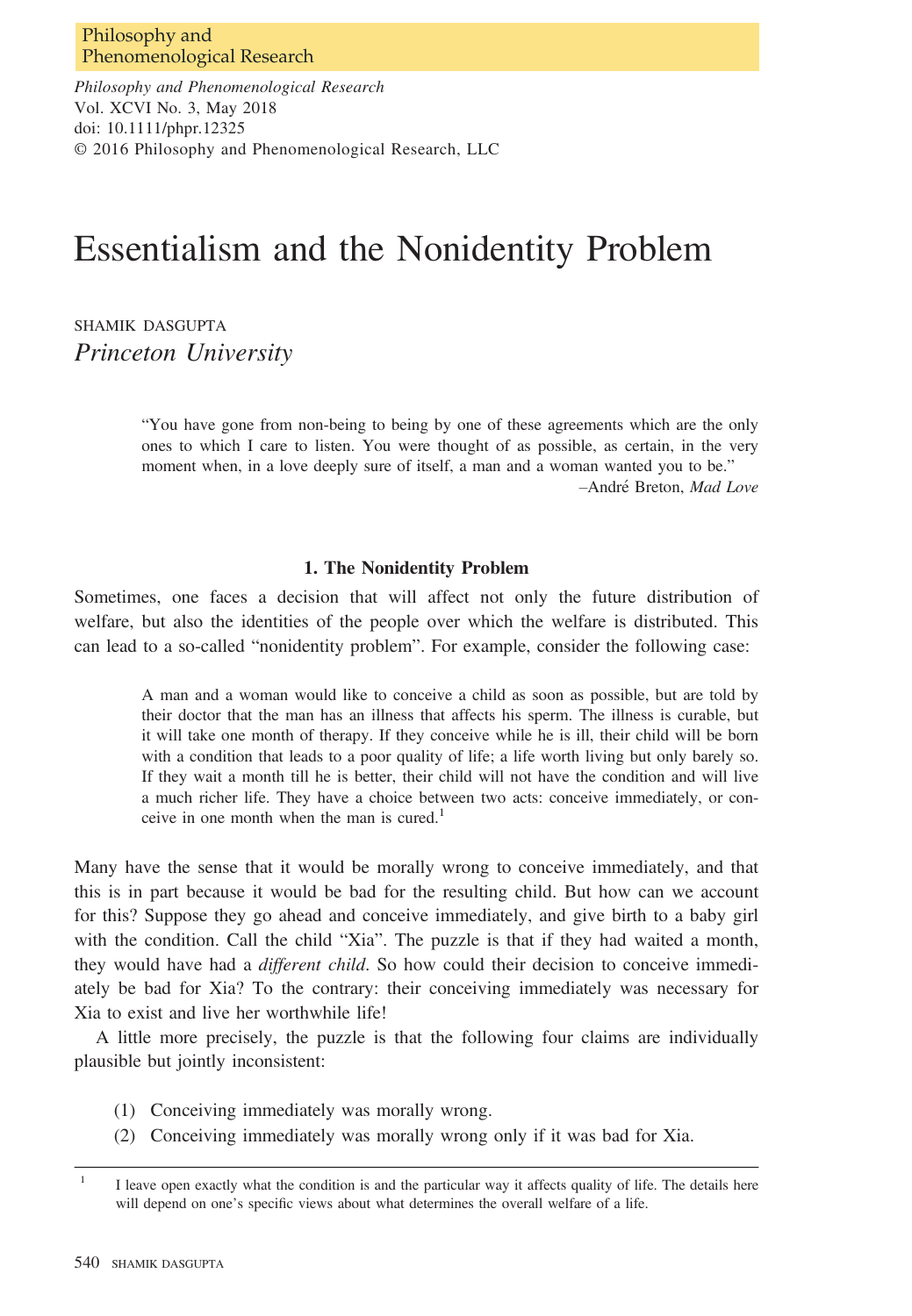Philosophy and Phenomenological Research Vol. XCVI No. 3, May 2018 doi: 10.1111/phpr.12325 © 2016 Philosophy and Phenomenological Research, LLC

# Essentialism and the Nonidentity Problem

SHAMIK DASGUPTA Princeton University

> "You have gone from non-being to being by one of these agreements which are the only ones to which I care to listen. You were thought of as possible, as certain, in the very moment when, in a love deeply sure of itself, a man and a woman wanted you to be." -André Breton, Mad Love

## 1. The Nonidentity Problem

Sometimes, one faces a decision that will affect not only the future distribution of welfare, but also the identities of the people over which the welfare is distributed. This can lead to a so-called "nonidentity problem". For example, consider the following case:

A man and a woman would like to conceive a child as soon as possible, but are told by their doctor that the man has an illness that affects his sperm. The illness is curable, but it will take one month of therapy. If they conceive while he is ill, their child will be born with a condition that leads to a poor quality of life; a life worth living but only barely so. If they wait a month till he is better, their child will not have the condition and will live a much richer life. They have a choice between two acts: conceive immediately, or conceive in one month when the man is cured.<sup>1</sup>

Many have the sense that it would be morally wrong to conceive immediately, and that this is in part because it would be bad for the resulting child. But how can we account for this? Suppose they go ahead and conceive immediately, and give birth to a baby girl with the condition. Call the child "Xia". The puzzle is that if they had waited a month, they would have had a *different child*. So how could their decision to conceive immediately be bad for Xia? To the contrary: their conceiving immediately was necessary for Xia to exist and live her worthwhile life!

A little more precisely, the puzzle is that the following four claims are individually plausible but jointly inconsistent:

- (1) Conceiving immediately was morally wrong.
- (2) Conceiving immediately was morally wrong only if it was bad for Xia.

<sup>&</sup>lt;sup>1</sup> I leave open exactly what the condition is and the particular way it affects quality of life. The details here will depend on one's specific views about what determines the overall welfare of a life.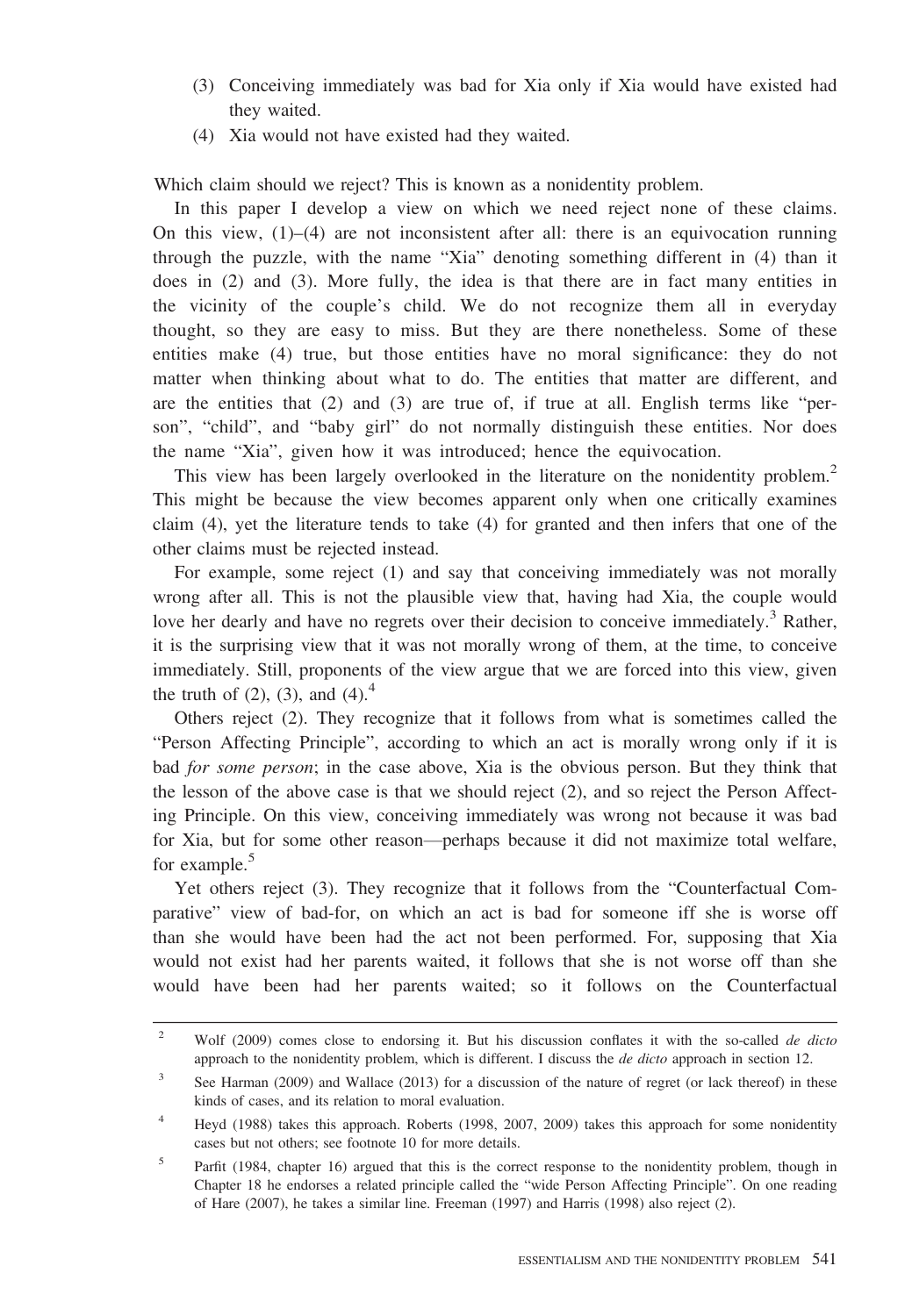- (3) Conceiving immediately was bad for Xia only if Xia would have existed had they waited.
- (4) Xia would not have existed had they waited.

Which claim should we reject? This is known as a nonidentity problem.

In this paper I develop a view on which we need reject none of these claims. On this view,  $(1)$ – $(4)$  are not inconsistent after all: there is an equivocation running through the puzzle, with the name "Xia" denoting something different in (4) than it does in  $(2)$  and  $(3)$ . More fully, the idea is that there are in fact many entities in the vicinity of the couple's child. We do not recognize them all in everyday thought, so they are easy to miss. But they are there nonetheless. Some of these entities make (4) true, but those entities have no moral significance: they do not matter when thinking about what to do. The entities that matter are different, and are the entities that  $(2)$  and  $(3)$  are true of, if true at all. English terms like "person", "child", and "baby girl" do not normally distinguish these entities. Nor does the name "Xia", given how it was introduced; hence the equivocation.

This view has been largely overlooked in the literature on the nonidentity problem.<sup>2</sup> This might be because the view becomes apparent only when one critically examines claim (4), yet the literature tends to take (4) for granted and then infers that one of the other claims must be rejected instead.

For example, some reject (1) and say that conceiving immediately was not morally wrong after all. This is not the plausible view that, having had Xia, the couple would love her dearly and have no regrets over their decision to conceive immediately.<sup>3</sup> Rather, it is the surprising view that it was not morally wrong of them, at the time, to conceive immediately. Still, proponents of the view argue that we are forced into this view, given the truth of  $(2)$ ,  $(3)$ , and  $(4)$ .<sup>4</sup>

Others reject (2). They recognize that it follows from what is sometimes called the "Person Affecting Principle", according to which an act is morally wrong only if it is bad for some person; in the case above, Xia is the obvious person. But they think that the lesson of the above case is that we should reject (2), and so reject the Person Affecting Principle. On this view, conceiving immediately was wrong not because it was bad for Xia, but for some other reason—perhaps because it did not maximize total welfare, for example.<sup>5</sup>

Yet others reject (3). They recognize that it follows from the "Counterfactual Comparative" view of bad-for, on which an act is bad for someone iff she is worse off than she would have been had the act not been performed. For, supposing that Xia would not exist had her parents waited, it follows that she is not worse off than she would have been had her parents waited; so it follows on the Counterfactual

<sup>&</sup>lt;sup>2</sup> Wolf (2009) comes close to endorsing it. But his discussion conflates it with the so-called *de dicto* approach to the nonidentity problem, which is different. I discuss the *de dicto* approach in section 12.

 $3$  See Harman (2009) and Wallace (2013) for a discussion of the nature of regret (or lack thereof) in these kinds of cases, and its relation to moral evaluation.

<sup>&</sup>lt;sup>4</sup> Heyd (1988) takes this approach. Roberts (1998, 2007, 2009) takes this approach for some nonidentity cases but not others; see footnote 10 for more details.

<sup>&</sup>lt;sup>5</sup> Parfit (1984, chapter 16) argued that this is the correct response to the nonidentity problem, though in Chapter 18 he endorses a related principle called the "wide Person Affecting Principle". On one reading of Hare (2007), he takes a similar line. Freeman (1997) and Harris (1998) also reject (2).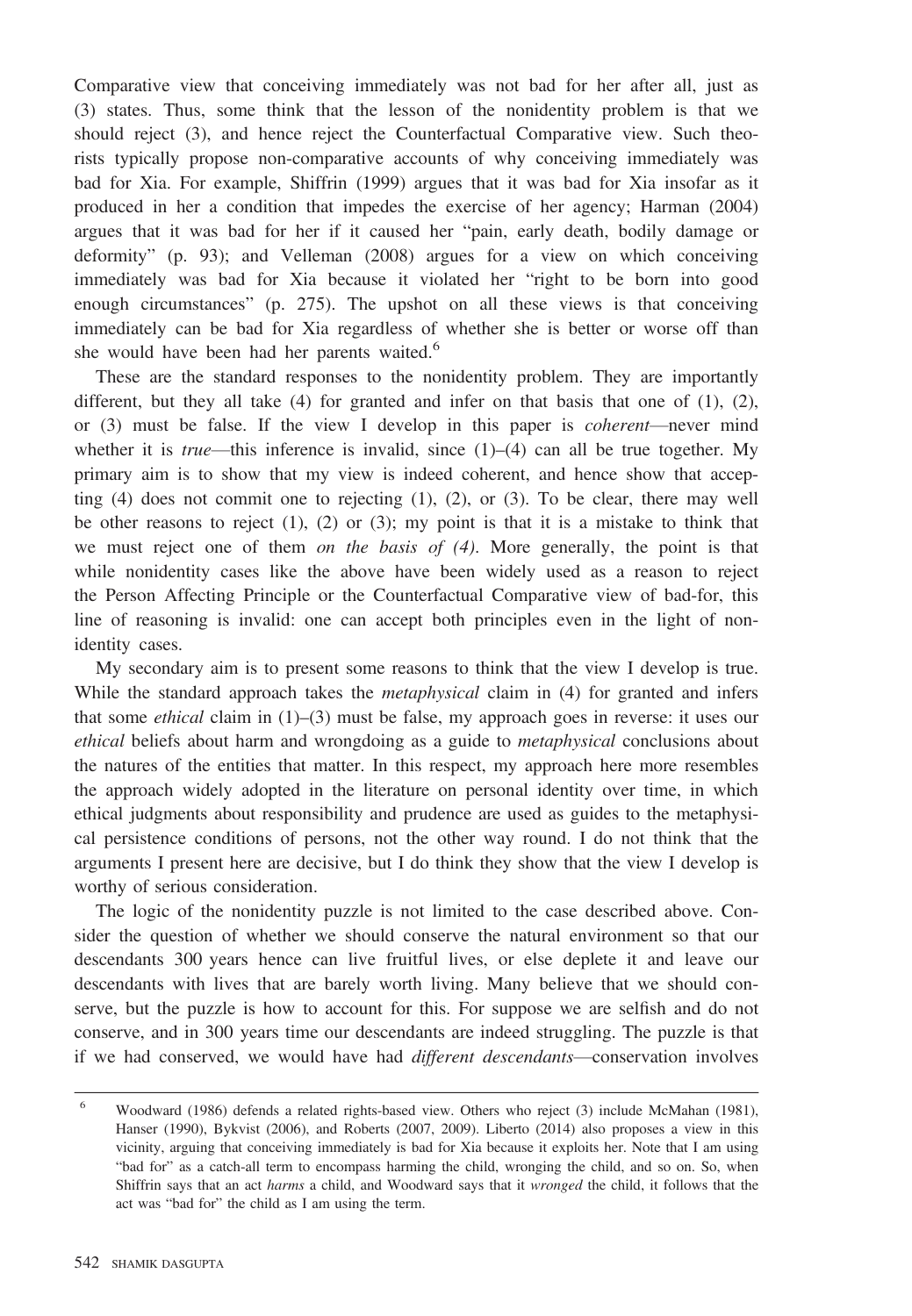Comparative view that conceiving immediately was not bad for her after all, just as (3) states. Thus, some think that the lesson of the nonidentity problem is that we should reject (3), and hence reject the Counterfactual Comparative view. Such theorists typically propose non-comparative accounts of why conceiving immediately was bad for Xia. For example, Shiffrin (1999) argues that it was bad for Xia insofar as it produced in her a condition that impedes the exercise of her agency; Harman (2004) argues that it was bad for her if it caused her "pain, early death, bodily damage or deformity" (p. 93); and Velleman (2008) argues for a view on which conceiving immediately was bad for Xia because it violated her "right to be born into good enough circumstances" (p. 275). The upshot on all these views is that conceiving immediately can be bad for Xia regardless of whether she is better or worse off than she would have been had her parents waited.<sup>6</sup>

These are the standard responses to the nonidentity problem. They are importantly different, but they all take  $(4)$  for granted and infer on that basis that one of  $(1)$ ,  $(2)$ , or (3) must be false. If the view I develop in this paper is coherent—never mind whether it is *true*—this inference is invalid, since  $(1)$ – $(4)$  can all be true together. My primary aim is to show that my view is indeed coherent, and hence show that accepting (4) does not commit one to rejecting (1), (2), or (3). To be clear, there may well be other reasons to reject  $(1)$ ,  $(2)$  or  $(3)$ ; my point is that it is a mistake to think that we must reject one of them *on the basis of (4)*. More generally, the point is that while nonidentity cases like the above have been widely used as a reason to reject the Person Affecting Principle or the Counterfactual Comparative view of bad-for, this line of reasoning is invalid: one can accept both principles even in the light of nonidentity cases.

My secondary aim is to present some reasons to think that the view I develop is true. While the standard approach takes the *metaphysical* claim in (4) for granted and infers that some *ethical* claim in  $(1)$ – $(3)$  must be false, my approach goes in reverse: it uses our ethical beliefs about harm and wrongdoing as a guide to metaphysical conclusions about the natures of the entities that matter. In this respect, my approach here more resembles the approach widely adopted in the literature on personal identity over time, in which ethical judgments about responsibility and prudence are used as guides to the metaphysical persistence conditions of persons, not the other way round. I do not think that the arguments I present here are decisive, but I do think they show that the view I develop is worthy of serious consideration.

The logic of the nonidentity puzzle is not limited to the case described above. Consider the question of whether we should conserve the natural environment so that our descendants 300 years hence can live fruitful lives, or else deplete it and leave our descendants with lives that are barely worth living. Many believe that we should conserve, but the puzzle is how to account for this. For suppose we are selfish and do not conserve, and in 300 years time our descendants are indeed struggling. The puzzle is that if we had conserved, we would have had different descendants—conservation involves

<sup>6</sup> Woodward (1986) defends a related rights-based view. Others who reject (3) include McMahan (1981), Hanser (1990), Bykvist (2006), and Roberts (2007, 2009). Liberto (2014) also proposes a view in this vicinity, arguing that conceiving immediately is bad for Xia because it exploits her. Note that I am using "bad for" as a catch-all term to encompass harming the child, wronging the child, and so on. So, when Shiffrin says that an act harms a child, and Woodward says that it wronged the child, it follows that the act was "bad for" the child as I am using the term.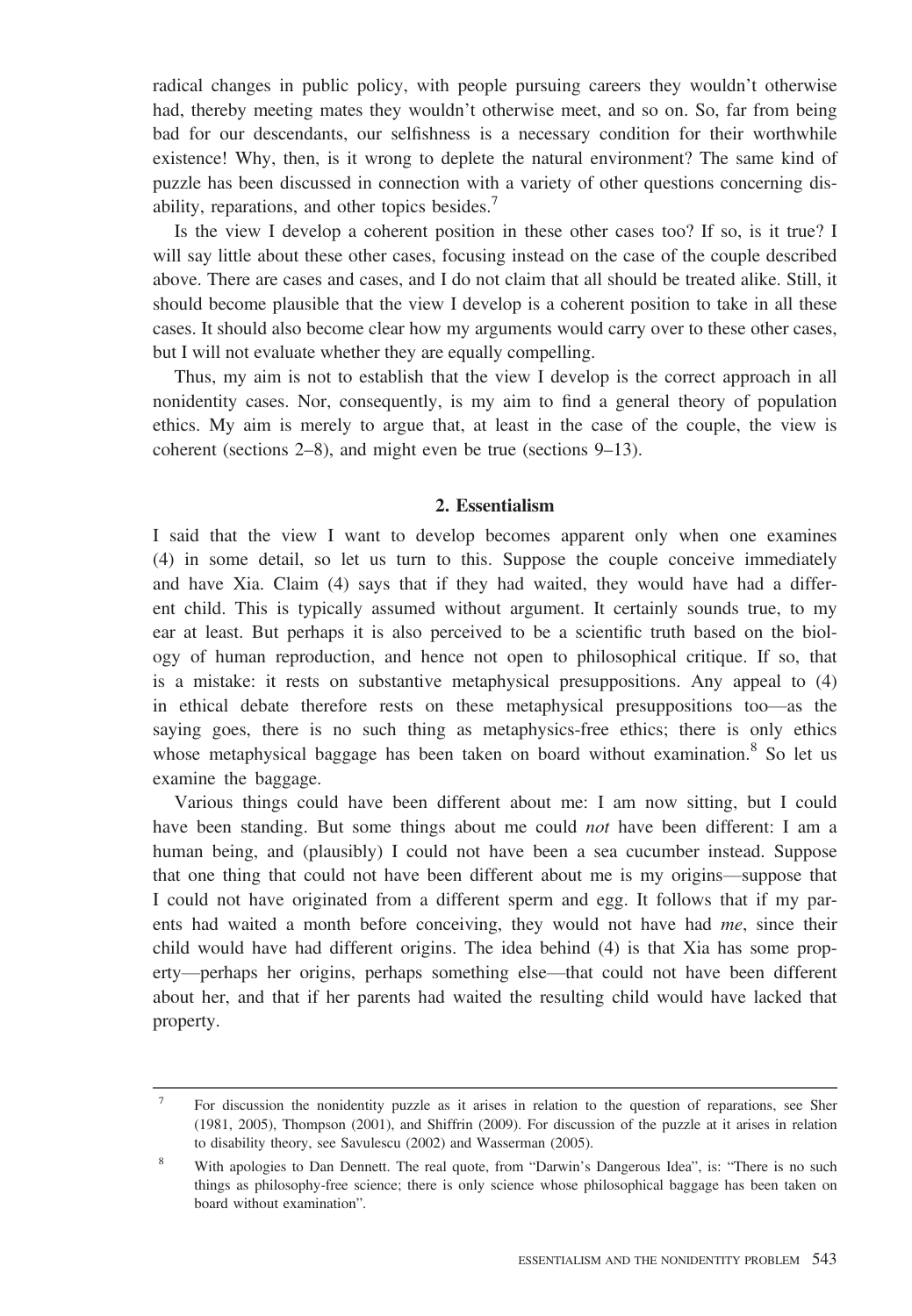radical changes in public policy, with people pursuing careers they wouldn't otherwise had, thereby meeting mates they wouldn't otherwise meet, and so on. So, far from being bad for our descendants, our selfishness is a necessary condition for their worthwhile existence! Why, then, is it wrong to deplete the natural environment? The same kind of puzzle has been discussed in connection with a variety of other questions concerning disability, reparations, and other topics besides.<sup>7</sup>

Is the view I develop a coherent position in these other cases too? If so, is it true? I will say little about these other cases, focusing instead on the case of the couple described above. There are cases and cases, and I do not claim that all should be treated alike. Still, it should become plausible that the view I develop is a coherent position to take in all these cases. It should also become clear how my arguments would carry over to these other cases, but I will not evaluate whether they are equally compelling.

Thus, my aim is not to establish that the view I develop is the correct approach in all nonidentity cases. Nor, consequently, is my aim to find a general theory of population ethics. My aim is merely to argue that, at least in the case of the couple, the view is coherent (sections 2–8), and might even be true (sections 9–13).

## 2. Essentialism

I said that the view I want to develop becomes apparent only when one examines (4) in some detail, so let us turn to this. Suppose the couple conceive immediately and have Xia. Claim (4) says that if they had waited, they would have had a different child. This is typically assumed without argument. It certainly sounds true, to my ear at least. But perhaps it is also perceived to be a scientific truth based on the biology of human reproduction, and hence not open to philosophical critique. If so, that is a mistake: it rests on substantive metaphysical presuppositions. Any appeal to (4) in ethical debate therefore rests on these metaphysical presuppositions too—as the saying goes, there is no such thing as metaphysics-free ethics; there is only ethics whose metaphysical baggage has been taken on board without examination.<sup>8</sup> So let us examine the baggage.

Various things could have been different about me: I am now sitting, but I could have been standing. But some things about me could *not* have been different: I am a human being, and (plausibly) I could not have been a sea cucumber instead. Suppose that one thing that could not have been different about me is my origins—suppose that I could not have originated from a different sperm and egg. It follows that if my parents had waited a month before conceiving, they would not have had me, since their child would have had different origins. The idea behind (4) is that Xia has some property—perhaps her origins, perhaps something else—that could not have been different about her, and that if her parents had waited the resulting child would have lacked that property.

<sup>&</sup>lt;sup>7</sup> For discussion the nonidentity puzzle as it arises in relation to the question of reparations, see Sher (1981, 2005), Thompson (2001), and Shiffrin (2009). For discussion of the puzzle at it arises in relation to disability theory, see Savulescu (2002) and Wasserman (2005).

<sup>&</sup>lt;sup>8</sup> With apologies to Dan Dennett. The real quote, from "Darwin's Dangerous Idea", is: "There is no such things as philosophy-free science; there is only science whose philosophical baggage has been taken on board without examination".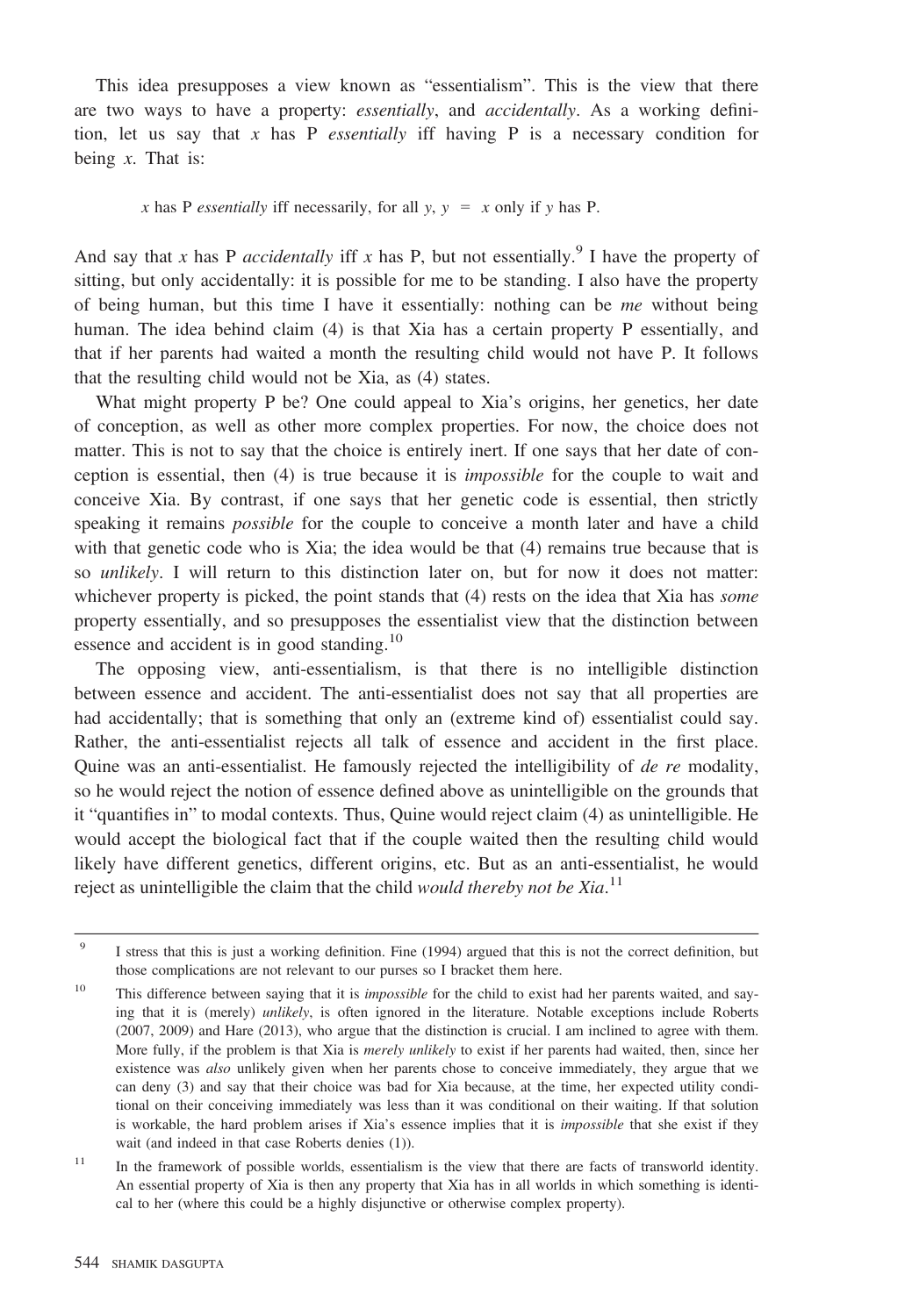This idea presupposes a view known as "essentialism". This is the view that there are two ways to have a property: essentially, and accidentally. As a working definition, let us say that x has P *essentially* iff having P is a necessary condition for being  $x$ . That is:

x has P *essentially* iff necessarily, for all y,  $y = x$  only if y has P.

And say that x has P *accidentally* iff x has P, but not essentially.<sup>9</sup> I have the property of sitting, but only accidentally: it is possible for me to be standing. I also have the property of being human, but this time I have it essentially: nothing can be me without being human. The idea behind claim (4) is that Xia has a certain property P essentially, and that if her parents had waited a month the resulting child would not have P. It follows that the resulting child would not be Xia, as (4) states.

What might property P be? One could appeal to Xia's origins, her genetics, her date of conception, as well as other more complex properties. For now, the choice does not matter. This is not to say that the choice is entirely inert. If one says that her date of conception is essential, then (4) is true because it is impossible for the couple to wait and conceive Xia. By contrast, if one says that her genetic code is essential, then strictly speaking it remains *possible* for the couple to conceive a month later and have a child with that genetic code who is Xia; the idea would be that (4) remains true because that is so *unlikely*. I will return to this distinction later on, but for now it does not matter: whichever property is picked, the point stands that (4) rests on the idea that Xia has *some* property essentially, and so presupposes the essentialist view that the distinction between essence and accident is in good standing.<sup>10</sup>

The opposing view, anti-essentialism, is that there is no intelligible distinction between essence and accident. The anti-essentialist does not say that all properties are had accidentally; that is something that only an (extreme kind of) essentialist could say. Rather, the anti-essentialist rejects all talk of essence and accident in the first place. Quine was an anti-essentialist. He famously rejected the intelligibility of  $de re$  modality, so he would reject the notion of essence defined above as unintelligible on the grounds that it "quantifies in" to modal contexts. Thus, Quine would reject claim (4) as unintelligible. He would accept the biological fact that if the couple waited then the resulting child would likely have different genetics, different origins, etc. But as an anti-essentialist, he would reject as unintelligible the claim that the child *would thereby not be Xia*.<sup>11</sup>

<sup>&</sup>lt;sup>9</sup> I stress that this is just a working definition. Fine (1994) argued that this is not the correct definition, but those complications are not relevant to our purses so I bracket them here.

<sup>&</sup>lt;sup>10</sup> This difference between saying that it is *impossible* for the child to exist had her parents waited, and saying that it is (merely) unlikely, is often ignored in the literature. Notable exceptions include Roberts (2007, 2009) and Hare (2013), who argue that the distinction is crucial. I am inclined to agree with them. More fully, if the problem is that Xia is *merely unlikely* to exist if her parents had waited, then, since her existence was *also* unlikely given when her parents chose to conceive immediately, they argue that we can deny (3) and say that their choice was bad for Xia because, at the time, her expected utility conditional on their conceiving immediately was less than it was conditional on their waiting. If that solution is workable, the hard problem arises if Xia's essence implies that it is *impossible* that she exist if they wait (and indeed in that case Roberts denies (1)).

<sup>&</sup>lt;sup>11</sup> In the framework of possible worlds, essentialism is the view that there are facts of transworld identity. An essential property of Xia is then any property that Xia has in all worlds in which something is identical to her (where this could be a highly disjunctive or otherwise complex property).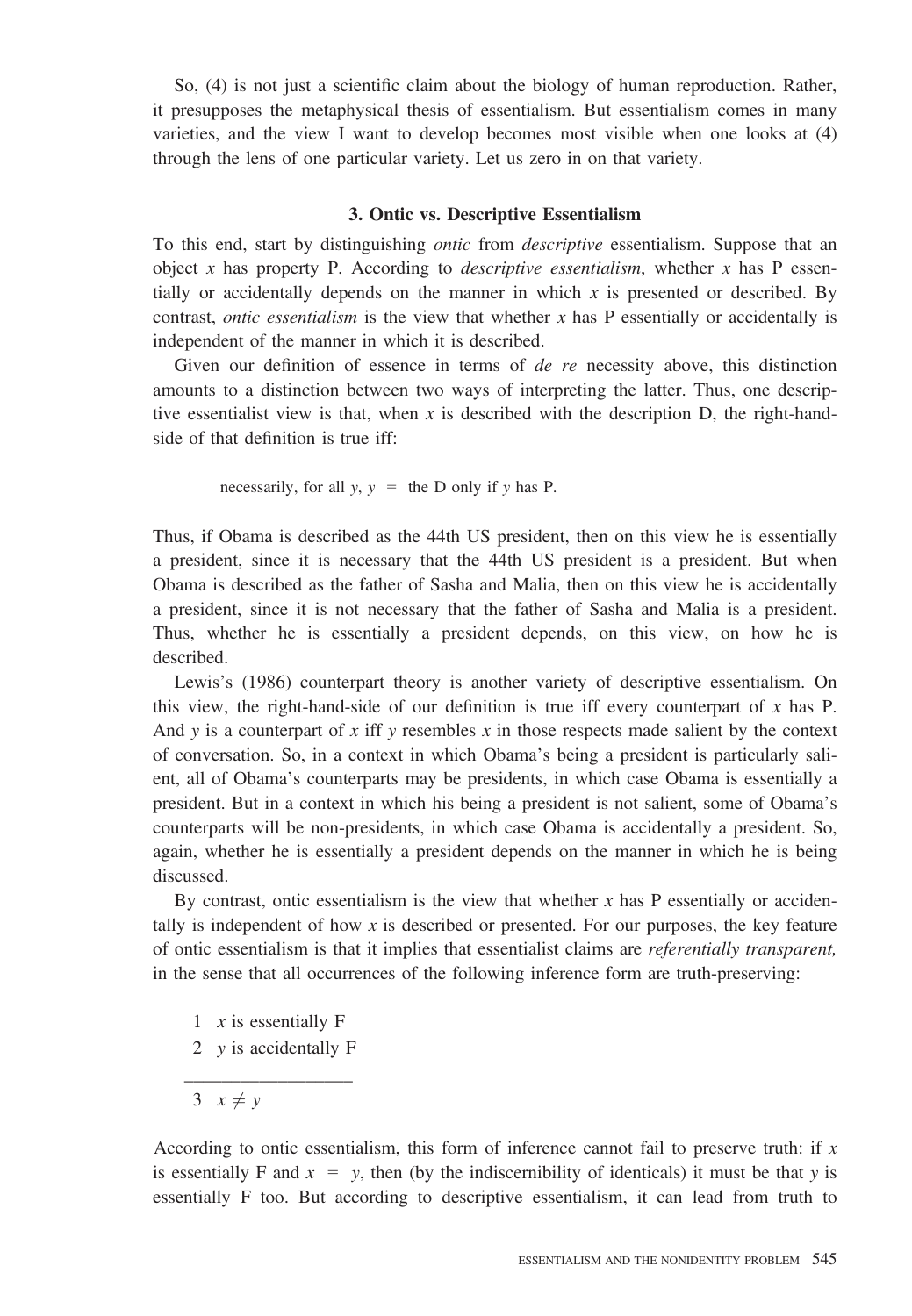So, (4) is not just a scientific claim about the biology of human reproduction. Rather, it presupposes the metaphysical thesis of essentialism. But essentialism comes in many varieties, and the view I want to develop becomes most visible when one looks at (4) through the lens of one particular variety. Let us zero in on that variety.

## 3. Ontic vs. Descriptive Essentialism

To this end, start by distinguishing ontic from descriptive essentialism. Suppose that an object x has property P. According to *descriptive essentialism*, whether  $x$  has P essentially or accidentally depends on the manner in which  $x$  is presented or described. By contrast, *ontic essentialism* is the view that whether  $x$  has P essentially or accidentally is independent of the manner in which it is described.

Given our definition of essence in terms of de re necessity above, this distinction amounts to a distinction between two ways of interpreting the latter. Thus, one descriptive essentialist view is that, when  $x$  is described with the description D, the right-handside of that definition is true iff:

necessarily, for all  $y, y =$  the D only if y has P.

Thus, if Obama is described as the 44th US president, then on this view he is essentially a president, since it is necessary that the 44th US president is a president. But when Obama is described as the father of Sasha and Malia, then on this view he is accidentally a president, since it is not necessary that the father of Sasha and Malia is a president. Thus, whether he is essentially a president depends, on this view, on how he is described.

Lewis's (1986) counterpart theory is another variety of descriptive essentialism. On this view, the right-hand-side of our definition is true iff every counterpart of  $x$  has P. And y is a counterpart of x iff y resembles x in those respects made salient by the context of conversation. So, in a context in which Obama's being a president is particularly salient, all of Obama's counterparts may be presidents, in which case Obama is essentially a president. But in a context in which his being a president is not salient, some of Obama's counterparts will be non-presidents, in which case Obama is accidentally a president. So, again, whether he is essentially a president depends on the manner in which he is being discussed.

By contrast, ontic essentialism is the view that whether  $x$  has P essentially or accidentally is independent of how  $x$  is described or presented. For our purposes, the key feature of ontic essentialism is that it implies that essentialist claims are referentially transparent, in the sense that all occurrences of the following inference form are truth-preserving:

- $1 \times$  is essentially F
- 2 y is accidentally F \_\_\_\_\_\_\_\_\_\_\_\_\_\_\_\_\_\_
- $3 \quad x \neq y$

According to ontic essentialism, this form of inference cannot fail to preserve truth: if  $x$ is essentially F and  $x = y$ , then (by the indiscernibility of identicals) it must be that y is essentially F too. But according to descriptive essentialism, it can lead from truth to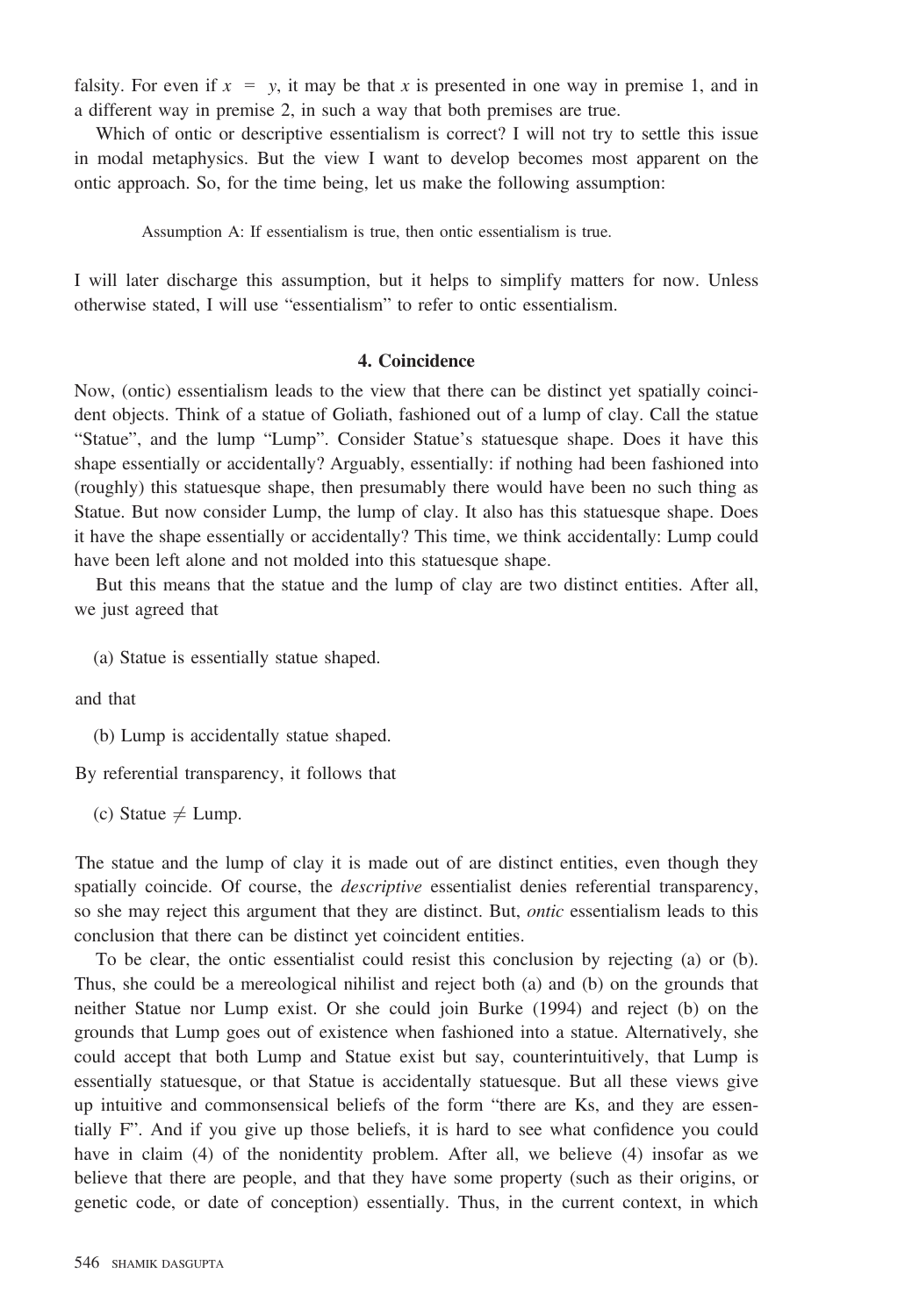falsity. For even if  $x = y$ , it may be that x is presented in one way in premise 1, and in a different way in premise 2, in such a way that both premises are true.

Which of ontic or descriptive essentialism is correct? I will not try to settle this issue in modal metaphysics. But the view I want to develop becomes most apparent on the ontic approach. So, for the time being, let us make the following assumption:

Assumption A: If essentialism is true, then ontic essentialism is true.

I will later discharge this assumption, but it helps to simplify matters for now. Unless otherwise stated, I will use "essentialism" to refer to ontic essentialism.

#### 4. Coincidence

Now, (ontic) essentialism leads to the view that there can be distinct yet spatially coincident objects. Think of a statue of Goliath, fashioned out of a lump of clay. Call the statue "Statue", and the lump "Lump". Consider Statue's statuesque shape. Does it have this shape essentially or accidentally? Arguably, essentially: if nothing had been fashioned into (roughly) this statuesque shape, then presumably there would have been no such thing as Statue. But now consider Lump, the lump of clay. It also has this statuesque shape. Does it have the shape essentially or accidentally? This time, we think accidentally: Lump could have been left alone and not molded into this statuesque shape.

But this means that the statue and the lump of clay are two distinct entities. After all, we just agreed that

(a) Statue is essentially statue shaped.

and that

(b) Lump is accidentally statue shaped.

By referential transparency, it follows that

(c) Statue  $\neq$  Lump.

The statue and the lump of clay it is made out of are distinct entities, even though they spatially coincide. Of course, the *descriptive* essentialist denies referential transparency, so she may reject this argument that they are distinct. But, ontic essentialism leads to this conclusion that there can be distinct yet coincident entities.

To be clear, the ontic essentialist could resist this conclusion by rejecting (a) or (b). Thus, she could be a mereological nihilist and reject both (a) and (b) on the grounds that neither Statue nor Lump exist. Or she could join Burke (1994) and reject (b) on the grounds that Lump goes out of existence when fashioned into a statue. Alternatively, she could accept that both Lump and Statue exist but say, counterintuitively, that Lump is essentially statuesque, or that Statue is accidentally statuesque. But all these views give up intuitive and commonsensical beliefs of the form "there are Ks, and they are essentially F". And if you give up those beliefs, it is hard to see what confidence you could have in claim (4) of the nonidentity problem. After all, we believe (4) insofar as we believe that there are people, and that they have some property (such as their origins, or genetic code, or date of conception) essentially. Thus, in the current context, in which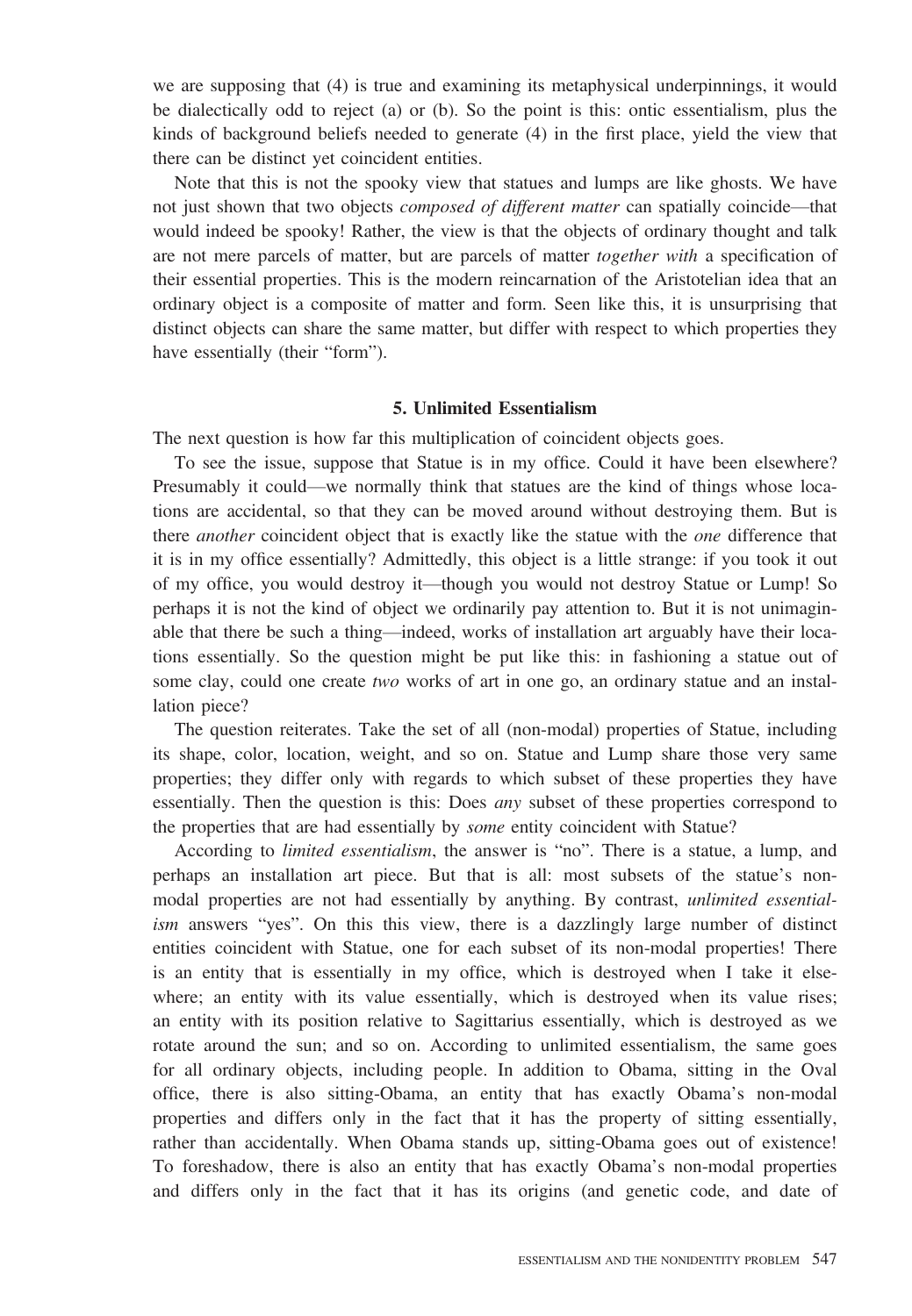we are supposing that (4) is true and examining its metaphysical underpinnings, it would be dialectically odd to reject (a) or (b). So the point is this: ontic essentialism, plus the kinds of background beliefs needed to generate (4) in the first place, yield the view that there can be distinct yet coincident entities.

Note that this is not the spooky view that statues and lumps are like ghosts. We have not just shown that two objects composed of different matter can spatially coincide—that would indeed be spooky! Rather, the view is that the objects of ordinary thought and talk are not mere parcels of matter, but are parcels of matter together with a specification of their essential properties. This is the modern reincarnation of the Aristotelian idea that an ordinary object is a composite of matter and form. Seen like this, it is unsurprising that distinct objects can share the same matter, but differ with respect to which properties they have essentially (their "form").

#### 5. Unlimited Essentialism

The next question is how far this multiplication of coincident objects goes.

To see the issue, suppose that Statue is in my office. Could it have been elsewhere? Presumably it could—we normally think that statues are the kind of things whose locations are accidental, so that they can be moved around without destroying them. But is there *another* coincident object that is exactly like the statue with the *one* difference that it is in my office essentially? Admittedly, this object is a little strange: if you took it out of my office, you would destroy it—though you would not destroy Statue or Lump! So perhaps it is not the kind of object we ordinarily pay attention to. But it is not unimaginable that there be such a thing—indeed, works of installation art arguably have their locations essentially. So the question might be put like this: in fashioning a statue out of some clay, could one create two works of art in one go, an ordinary statue and an installation piece?

The question reiterates. Take the set of all (non-modal) properties of Statue, including its shape, color, location, weight, and so on. Statue and Lump share those very same properties; they differ only with regards to which subset of these properties they have essentially. Then the question is this: Does *any* subset of these properties correspond to the properties that are had essentially by some entity coincident with Statue?

According to limited essentialism, the answer is "no". There is a statue, a lump, and perhaps an installation art piece. But that is all: most subsets of the statue's nonmodal properties are not had essentially by anything. By contrast, unlimited essentialism answers "yes". On this this view, there is a dazzlingly large number of distinct entities coincident with Statue, one for each subset of its non-modal properties! There is an entity that is essentially in my office, which is destroyed when I take it elsewhere; an entity with its value essentially, which is destroyed when its value rises; an entity with its position relative to Sagittarius essentially, which is destroyed as we rotate around the sun; and so on. According to unlimited essentialism, the same goes for all ordinary objects, including people. In addition to Obama, sitting in the Oval office, there is also sitting-Obama, an entity that has exactly Obama's non-modal properties and differs only in the fact that it has the property of sitting essentially, rather than accidentally. When Obama stands up, sitting-Obama goes out of existence! To foreshadow, there is also an entity that has exactly Obama's non-modal properties and differs only in the fact that it has its origins (and genetic code, and date of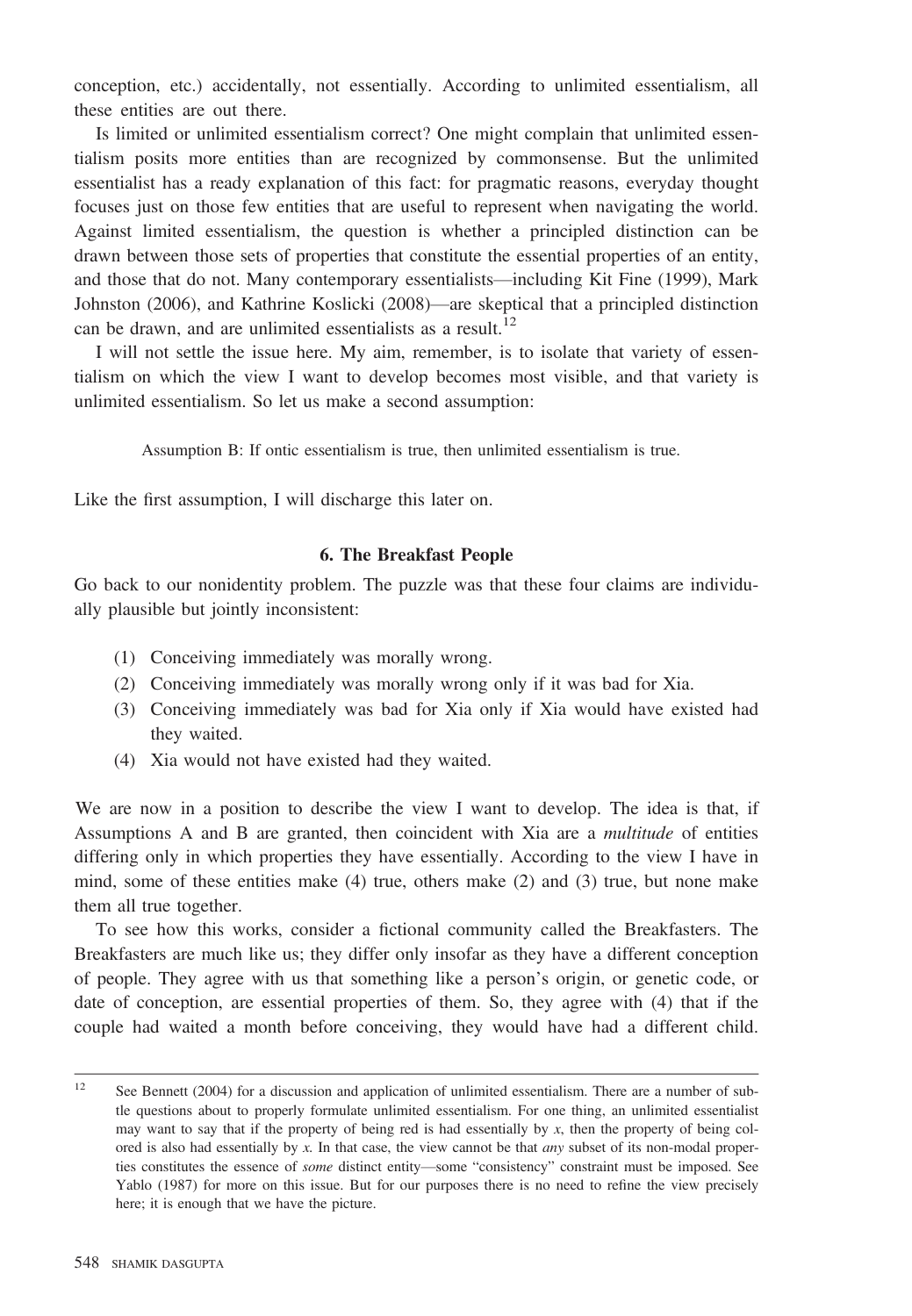conception, etc.) accidentally, not essentially. According to unlimited essentialism, all these entities are out there.

Is limited or unlimited essentialism correct? One might complain that unlimited essentialism posits more entities than are recognized by commonsense. But the unlimited essentialist has a ready explanation of this fact: for pragmatic reasons, everyday thought focuses just on those few entities that are useful to represent when navigating the world. Against limited essentialism, the question is whether a principled distinction can be drawn between those sets of properties that constitute the essential properties of an entity, and those that do not. Many contemporary essentialists—including Kit Fine (1999), Mark Johnston (2006), and Kathrine Koslicki (2008)—are skeptical that a principled distinction can be drawn, and are unlimited essentialists as a result.<sup>12</sup>

I will not settle the issue here. My aim, remember, is to isolate that variety of essentialism on which the view I want to develop becomes most visible, and that variety is unlimited essentialism. So let us make a second assumption:

Assumption B: If ontic essentialism is true, then unlimited essentialism is true.

Like the first assumption, I will discharge this later on.

#### 6. The Breakfast People

Go back to our nonidentity problem. The puzzle was that these four claims are individually plausible but jointly inconsistent:

- (1) Conceiving immediately was morally wrong.
- (2) Conceiving immediately was morally wrong only if it was bad for Xia.
- (3) Conceiving immediately was bad for Xia only if Xia would have existed had they waited.
- (4) Xia would not have existed had they waited.

We are now in a position to describe the view I want to develop. The idea is that, if Assumptions A and B are granted, then coincident with Xia are a multitude of entities differing only in which properties they have essentially. According to the view I have in mind, some of these entities make (4) true, others make (2) and (3) true, but none make them all true together.

To see how this works, consider a fictional community called the Breakfasters. The Breakfasters are much like us; they differ only insofar as they have a different conception of people. They agree with us that something like a person's origin, or genetic code, or date of conception, are essential properties of them. So, they agree with (4) that if the couple had waited a month before conceiving, they would have had a different child.

<sup>&</sup>lt;sup>12</sup> See Bennett (2004) for a discussion and application of unlimited essentialism. There are a number of subtle questions about to properly formulate unlimited essentialism. For one thing, an unlimited essentialist may want to say that if the property of being red is had essentially by  $x$ , then the property of being colored is also had essentially by  $x$ . In that case, the view cannot be that *any* subset of its non-modal properties constitutes the essence of *some* distinct entity—some "consistency" constraint must be imposed. See Yablo (1987) for more on this issue. But for our purposes there is no need to refine the view precisely here; it is enough that we have the picture.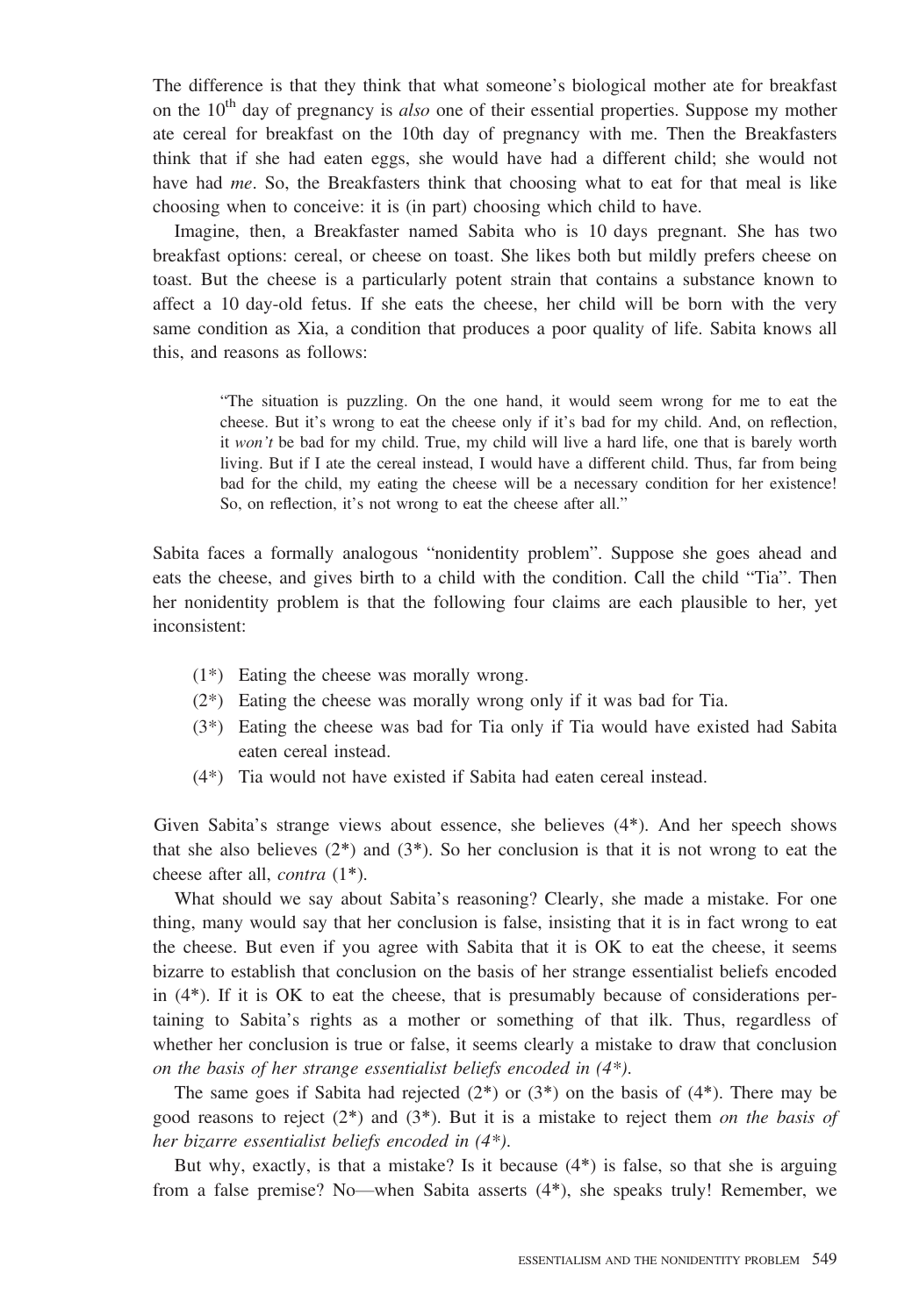The difference is that they think that what someone's biological mother ate for breakfast on the  $10<sup>th</sup>$  day of pregnancy is *also* one of their essential properties. Suppose my mother ate cereal for breakfast on the 10th day of pregnancy with me. Then the Breakfasters think that if she had eaten eggs, she would have had a different child; she would not have had me. So, the Breakfasters think that choosing what to eat for that meal is like choosing when to conceive: it is (in part) choosing which child to have.

Imagine, then, a Breakfaster named Sabita who is 10 days pregnant. She has two breakfast options: cereal, or cheese on toast. She likes both but mildly prefers cheese on toast. But the cheese is a particularly potent strain that contains a substance known to affect a 10 day-old fetus. If she eats the cheese, her child will be born with the very same condition as Xia, a condition that produces a poor quality of life. Sabita knows all this, and reasons as follows:

"The situation is puzzling. On the one hand, it would seem wrong for me to eat the cheese. But it's wrong to eat the cheese only if it's bad for my child. And, on reflection, it won't be bad for my child. True, my child will live a hard life, one that is barely worth living. But if I ate the cereal instead, I would have a different child. Thus, far from being bad for the child, my eating the cheese will be a necessary condition for her existence! So, on reflection, it's not wrong to eat the cheese after all."

Sabita faces a formally analogous "nonidentity problem". Suppose she goes ahead and eats the cheese, and gives birth to a child with the condition. Call the child "Tia". Then her nonidentity problem is that the following four claims are each plausible to her, yet inconsistent:

- (1\*) Eating the cheese was morally wrong.
- (2\*) Eating the cheese was morally wrong only if it was bad for Tia.
- (3\*) Eating the cheese was bad for Tia only if Tia would have existed had Sabita eaten cereal instead.
- (4\*) Tia would not have existed if Sabita had eaten cereal instead.

Given Sabita's strange views about essence, she believes (4\*). And her speech shows that she also believes  $(2^*)$  and  $(3^*)$ . So her conclusion is that it is not wrong to eat the cheese after all, contra (1\*).

What should we say about Sabita's reasoning? Clearly, she made a mistake. For one thing, many would say that her conclusion is false, insisting that it is in fact wrong to eat the cheese. But even if you agree with Sabita that it is OK to eat the cheese, it seems bizarre to establish that conclusion on the basis of her strange essentialist beliefs encoded in (4\*). If it is OK to eat the cheese, that is presumably because of considerations pertaining to Sabita's rights as a mother or something of that ilk. Thus, regardless of whether her conclusion is true or false, it seems clearly a mistake to draw that conclusion on the basis of her strange essentialist beliefs encoded in (4\*).

The same goes if Sabita had rejected  $(2^*)$  or  $(3^*)$  on the basis of  $(4^*)$ . There may be good reasons to reject  $(2^*)$  and  $(3^*)$ . But it is a mistake to reject them on the basis of her bizarre essentialist beliefs encoded in (4\*).

But why, exactly, is that a mistake? Is it because  $(4^*)$  is false, so that she is arguing from a false premise? No—when Sabita asserts (4\*), she speaks truly! Remember, we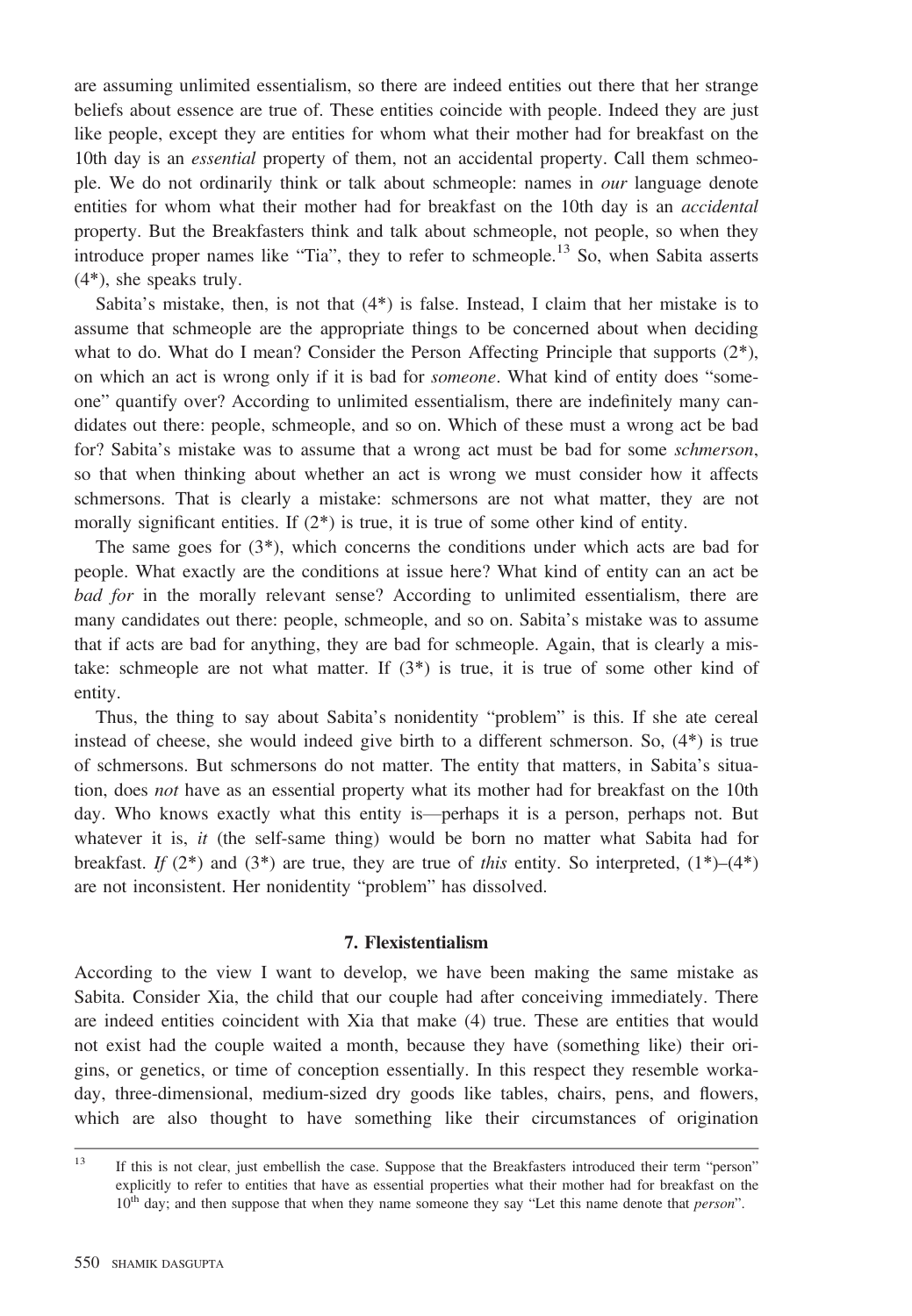are assuming unlimited essentialism, so there are indeed entities out there that her strange beliefs about essence are true of. These entities coincide with people. Indeed they are just like people, except they are entities for whom what their mother had for breakfast on the 10th day is an essential property of them, not an accidental property. Call them schmeople. We do not ordinarily think or talk about schmeople: names in our language denote entities for whom what their mother had for breakfast on the 10th day is an accidental property. But the Breakfasters think and talk about schmeople, not people, so when they introduce proper names like "Tia", they to refer to schmeople.<sup>13</sup> So, when Sabita asserts (4\*), she speaks truly.

Sabita's mistake, then, is not that  $(4^*)$  is false. Instead, I claim that her mistake is to assume that schmeople are the appropriate things to be concerned about when deciding what to do. What do I mean? Consider the Person Affecting Principle that supports  $(2^*)$ , on which an act is wrong only if it is bad for *someone*. What kind of entity does "someone" quantify over? According to unlimited essentialism, there are indefinitely many candidates out there: people, schmeople, and so on. Which of these must a wrong act be bad for? Sabita's mistake was to assume that a wrong act must be bad for some schmerson, so that when thinking about whether an act is wrong we must consider how it affects schmersons. That is clearly a mistake: schmersons are not what matter, they are not morally significant entities. If  $(2^*)$  is true, it is true of some other kind of entity.

The same goes for  $(3^*)$ , which concerns the conditions under which acts are bad for people. What exactly are the conditions at issue here? What kind of entity can an act be bad for in the morally relevant sense? According to unlimited essentialism, there are many candidates out there: people, schmeople, and so on. Sabita's mistake was to assume that if acts are bad for anything, they are bad for schmeople. Again, that is clearly a mistake: schmeople are not what matter. If  $(3^*)$  is true, it is true of some other kind of entity.

Thus, the thing to say about Sabita's nonidentity "problem" is this. If she ate cereal instead of cheese, she would indeed give birth to a different schmerson. So, (4\*) is true of schmersons. But schmersons do not matter. The entity that matters, in Sabita's situation, does *not* have as an essential property what its mother had for breakfast on the 10th day. Who knows exactly what this entity is—perhaps it is a person, perhaps not. But whatever it is, *it* (the self-same thing) would be born no matter what Sabita had for breakfast. If  $(2^*)$  and  $(3^*)$  are true, they are true of this entity. So interpreted,  $(1^*)$ – $(4^*)$ are not inconsistent. Her nonidentity "problem" has dissolved.

## 7. Flexistentialism

According to the view I want to develop, we have been making the same mistake as Sabita. Consider Xia, the child that our couple had after conceiving immediately. There are indeed entities coincident with Xia that make (4) true. These are entities that would not exist had the couple waited a month, because they have (something like) their origins, or genetics, or time of conception essentially. In this respect they resemble workaday, three-dimensional, medium-sized dry goods like tables, chairs, pens, and flowers, which are also thought to have something like their circumstances of origination

<sup>&</sup>lt;sup>13</sup> If this is not clear, just embellish the case. Suppose that the Breakfasters introduced their term "person" explicitly to refer to entities that have as essential properties what their mother had for breakfast on the 10<sup>th</sup> day; and then suppose that when they name someone they say "Let this name denote that *person*".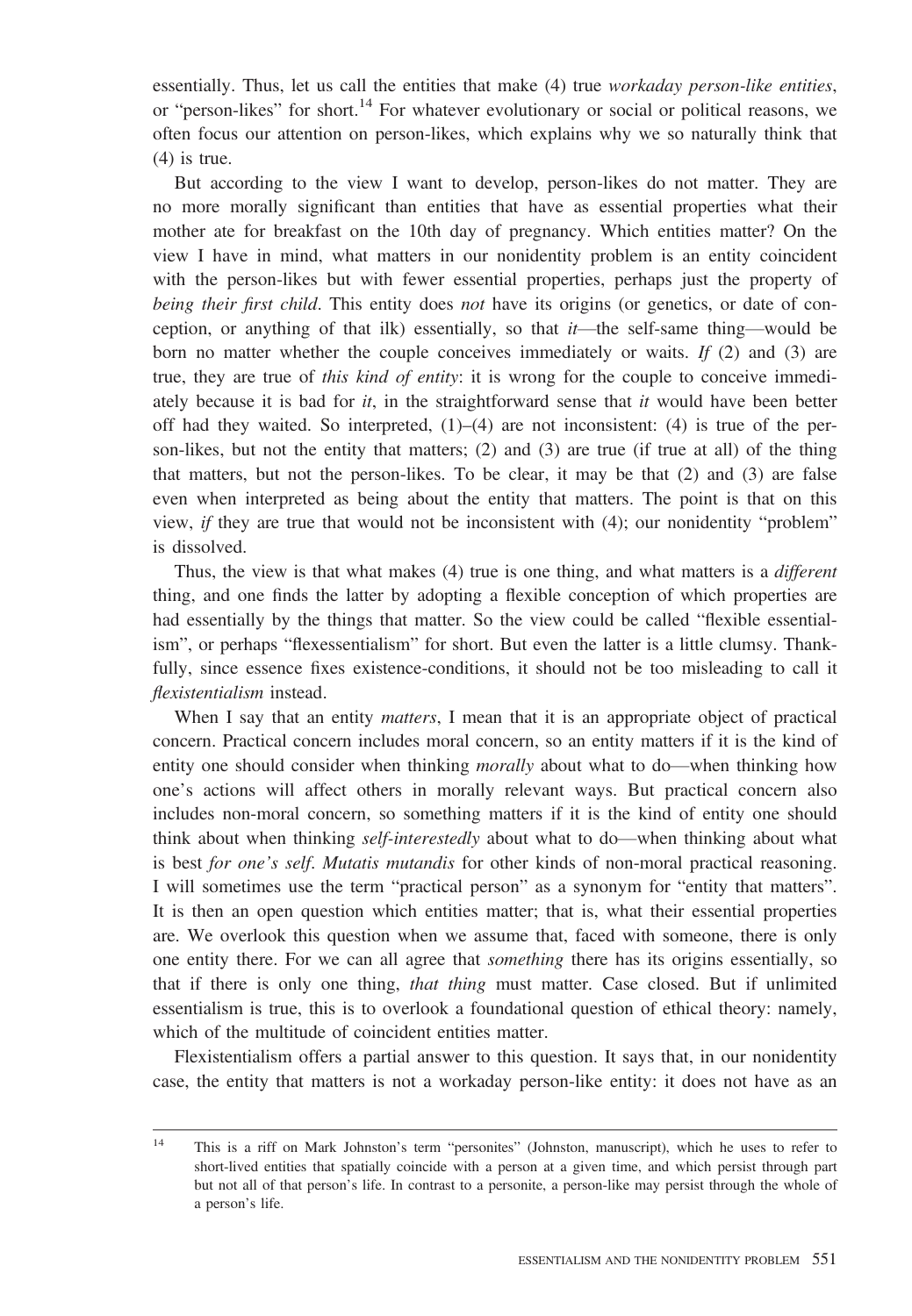essentially. Thus, let us call the entities that make (4) true *workaday person-like entities*, or "person-likes" for short.<sup>14</sup> For whatever evolutionary or social or political reasons, we often focus our attention on person-likes, which explains why we so naturally think that (4) is true.

But according to the view I want to develop, person-likes do not matter. They are no more morally significant than entities that have as essential properties what their mother ate for breakfast on the 10th day of pregnancy. Which entities matter? On the view I have in mind, what matters in our nonidentity problem is an entity coincident with the person-likes but with fewer essential properties, perhaps just the property of being their first child. This entity does not have its origins (or genetics, or date of conception, or anything of that ilk) essentially, so that  $it$ —the self-same thing—would be born no matter whether the couple conceives immediately or waits. If  $(2)$  and  $(3)$  are true, they are true of *this kind of entity*; it is wrong for the couple to conceive immediately because it is bad for  $it$ , in the straightforward sense that  $it$  would have been better off had they waited. So interpreted,  $(1)$ – $(4)$  are not inconsistent:  $(4)$  is true of the person-likes, but not the entity that matters;  $(2)$  and  $(3)$  are true (if true at all) of the thing that matters, but not the person-likes. To be clear, it may be that (2) and (3) are false even when interpreted as being about the entity that matters. The point is that on this view, if they are true that would not be inconsistent with (4); our nonidentity "problem" is dissolved.

Thus, the view is that what makes (4) true is one thing, and what matters is a *different* thing, and one finds the latter by adopting a flexible conception of which properties are had essentially by the things that matter. So the view could be called "flexible essentialism", or perhaps "flexessentialism" for short. But even the latter is a little clumsy. Thankfully, since essence fixes existence-conditions, it should not be too misleading to call it flexistentialism instead.

When I say that an entity *matters*, I mean that it is an appropriate object of practical concern. Practical concern includes moral concern, so an entity matters if it is the kind of entity one should consider when thinking *morally* about what to do—when thinking how one's actions will affect others in morally relevant ways. But practical concern also includes non-moral concern, so something matters if it is the kind of entity one should think about when thinking self-interestedly about what to do—when thinking about what is best for one's self. Mutatis mutandis for other kinds of non-moral practical reasoning. I will sometimes use the term "practical person" as a synonym for "entity that matters". It is then an open question which entities matter; that is, what their essential properties are. We overlook this question when we assume that, faced with someone, there is only one entity there. For we can all agree that something there has its origins essentially, so that if there is only one thing, that thing must matter. Case closed. But if unlimited essentialism is true, this is to overlook a foundational question of ethical theory: namely, which of the multitude of coincident entities matter.

Flexistentialism offers a partial answer to this question. It says that, in our nonidentity case, the entity that matters is not a workaday person-like entity: it does not have as an

<sup>14</sup> This is a riff on Mark Johnston's term "personites" (Johnston, manuscript), which he uses to refer to short-lived entities that spatially coincide with a person at a given time, and which persist through part but not all of that person's life. In contrast to a personite, a person-like may persist through the whole of a person's life.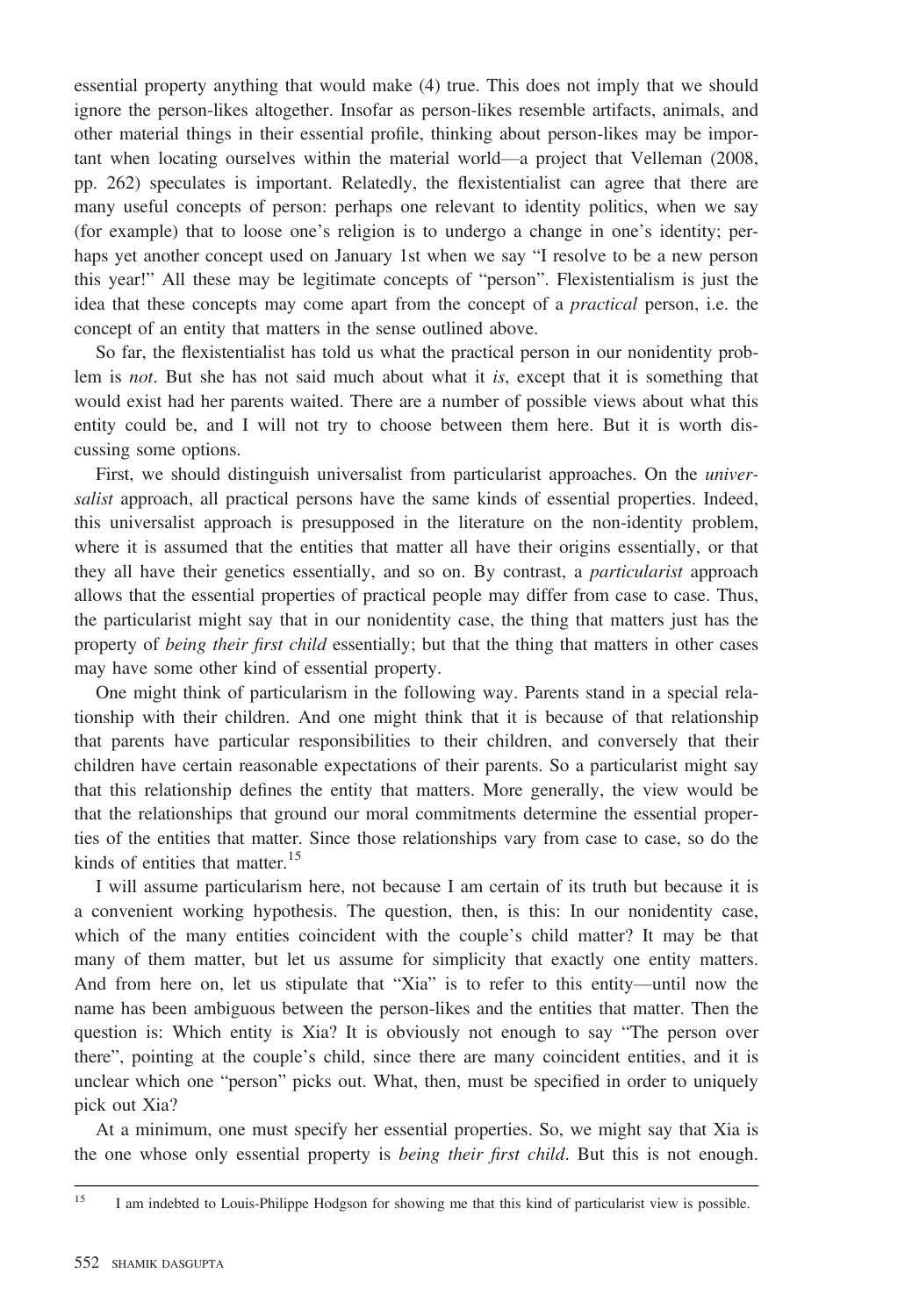essential property anything that would make (4) true. This does not imply that we should ignore the person-likes altogether. Insofar as person-likes resemble artifacts, animals, and other material things in their essential profile, thinking about person-likes may be important when locating ourselves within the material world—a project that Velleman (2008, pp. 262) speculates is important. Relatedly, the flexistentialist can agree that there are many useful concepts of person: perhaps one relevant to identity politics, when we say (for example) that to loose one's religion is to undergo a change in one's identity; perhaps yet another concept used on January 1st when we say "I resolve to be a new person this year!" All these may be legitimate concepts of "person". Flexistentialism is just the idea that these concepts may come apart from the concept of a practical person, i.e. the concept of an entity that matters in the sense outlined above.

So far, the flexistentialist has told us what the practical person in our nonidentity problem is not. But she has not said much about what it is, except that it is something that would exist had her parents waited. There are a number of possible views about what this entity could be, and I will not try to choose between them here. But it is worth discussing some options.

First, we should distinguish universalist from particularist approaches. On the universalist approach, all practical persons have the same kinds of essential properties. Indeed, this universalist approach is presupposed in the literature on the non-identity problem, where it is assumed that the entities that matter all have their origins essentially, or that they all have their genetics essentially, and so on. By contrast, a particularist approach allows that the essential properties of practical people may differ from case to case. Thus, the particularist might say that in our nonidentity case, the thing that matters just has the property of being their first child essentially; but that the thing that matters in other cases may have some other kind of essential property.

One might think of particularism in the following way. Parents stand in a special relationship with their children. And one might think that it is because of that relationship that parents have particular responsibilities to their children, and conversely that their children have certain reasonable expectations of their parents. So a particularist might say that this relationship defines the entity that matters. More generally, the view would be that the relationships that ground our moral commitments determine the essential properties of the entities that matter. Since those relationships vary from case to case, so do the kinds of entities that matter.<sup>15</sup>

I will assume particularism here, not because I am certain of its truth but because it is a convenient working hypothesis. The question, then, is this: In our nonidentity case, which of the many entities coincident with the couple's child matter? It may be that many of them matter, but let us assume for simplicity that exactly one entity matters. And from here on, let us stipulate that "Xia" is to refer to this entity—until now the name has been ambiguous between the person-likes and the entities that matter. Then the question is: Which entity is Xia? It is obviously not enough to say "The person over there", pointing at the couple's child, since there are many coincident entities, and it is unclear which one "person" picks out. What, then, must be specified in order to uniquely pick out Xia?

At a minimum, one must specify her essential properties. So, we might say that Xia is the one whose only essential property is *being their first child*. But this is not enough.

<sup>&</sup>lt;sup>15</sup> I am indebted to Louis-Philippe Hodgson for showing me that this kind of particularist view is possible.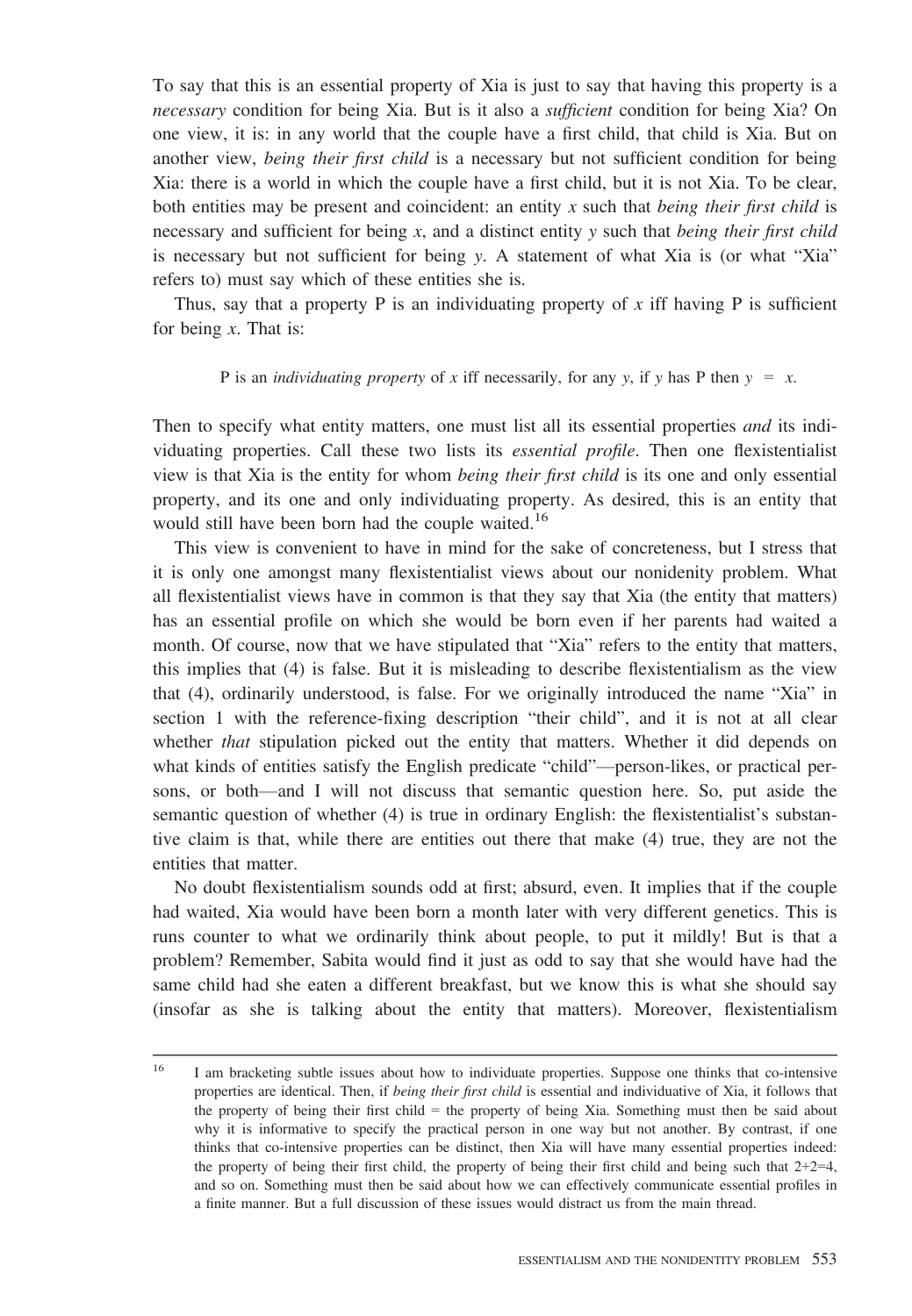To say that this is an essential property of Xia is just to say that having this property is a necessary condition for being Xia. But is it also a *sufficient* condition for being Xia? On one view, it is: in any world that the couple have a first child, that child is Xia. But on another view, *being their first child* is a necessary but not sufficient condition for being Xia: there is a world in which the couple have a first child, but it is not Xia. To be clear, both entities may be present and coincident: an entity  $x$  such that *being their first child* is necessary and sufficient for being  $x$ , and a distinct entity  $y$  such that *being their first child* is necessary but not sufficient for being  $y$ . A statement of what Xia is (or what "Xia" refers to) must say which of these entities she is.

Thus, say that a property P is an individuating property of  $x$  iff having P is sufficient for being  $x$ . That is:

## P is an *individuating property* of x iff necessarily, for any y, if y has P then  $y = x$ .

Then to specify what entity matters, one must list all its essential properties *and* its individuating properties. Call these two lists its *essential profile*. Then one flexistentialist view is that Xia is the entity for whom being their first child is its one and only essential property, and its one and only individuating property. As desired, this is an entity that would still have been born had the couple waited.<sup>16</sup>

This view is convenient to have in mind for the sake of concreteness, but I stress that it is only one amongst many flexistentialist views about our nonidenity problem. What all flexistentialist views have in common is that they say that Xia (the entity that matters) has an essential profile on which she would be born even if her parents had waited a month. Of course, now that we have stipulated that "Xia" refers to the entity that matters, this implies that (4) is false. But it is misleading to describe flexistentialism as the view that (4), ordinarily understood, is false. For we originally introduced the name "Xia" in section 1 with the reference-fixing description "their child", and it is not at all clear whether *that* stipulation picked out the entity that matters. Whether it did depends on what kinds of entities satisfy the English predicate "child"—person-likes, or practical persons, or both—and I will not discuss that semantic question here. So, put aside the semantic question of whether (4) is true in ordinary English: the flexistentialist's substantive claim is that, while there are entities out there that make (4) true, they are not the entities that matter.

No doubt flexistentialism sounds odd at first; absurd, even. It implies that if the couple had waited, Xia would have been born a month later with very different genetics. This is runs counter to what we ordinarily think about people, to put it mildly! But is that a problem? Remember, Sabita would find it just as odd to say that she would have had the same child had she eaten a different breakfast, but we know this is what she should say (insofar as she is talking about the entity that matters). Moreover, flexistentialism

<sup>&</sup>lt;sup>16</sup> I am bracketing subtle issues about how to individuate properties. Suppose one thinks that co-intensive properties are identical. Then, if *being their first child* is essential and individuative of Xia, it follows that the property of being their first child = the property of being Xia. Something must then be said about why it is informative to specify the practical person in one way but not another. By contrast, if one thinks that co-intensive properties can be distinct, then Xia will have many essential properties indeed: the property of being their first child, the property of being their first child and being such that  $2+2=4$ , and so on. Something must then be said about how we can effectively communicate essential profiles in a finite manner. But a full discussion of these issues would distract us from the main thread.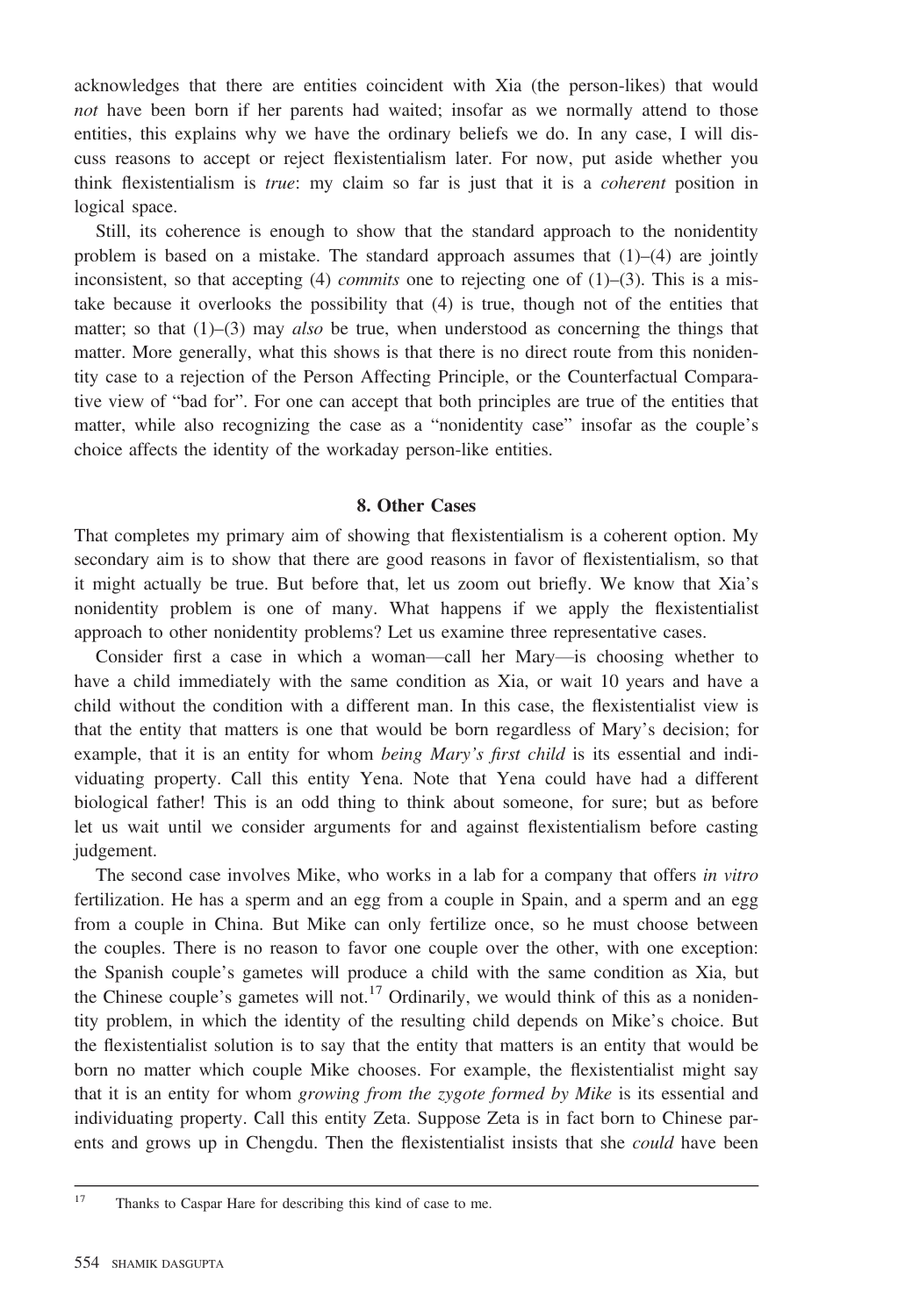acknowledges that there are entities coincident with Xia (the person-likes) that would not have been born if her parents had waited; insofar as we normally attend to those entities, this explains why we have the ordinary beliefs we do. In any case, I will discuss reasons to accept or reject flexistentialism later. For now, put aside whether you think flexistentialism is true: my claim so far is just that it is a coherent position in logical space.

Still, its coherence is enough to show that the standard approach to the nonidentity problem is based on a mistake. The standard approach assumes that  $(1)$ – $(4)$  are jointly inconsistent, so that accepting (4) *commits* one to rejecting one of  $(1)$ – $(3)$ . This is a mistake because it overlooks the possibility that (4) is true, though not of the entities that matter; so that  $(1)$ – $(3)$  may also be true, when understood as concerning the things that matter. More generally, what this shows is that there is no direct route from this nonidentity case to a rejection of the Person Affecting Principle, or the Counterfactual Comparative view of "bad for". For one can accept that both principles are true of the entities that matter, while also recognizing the case as a "nonidentity case" insofar as the couple's choice affects the identity of the workaday person-like entities.

#### 8. Other Cases

That completes my primary aim of showing that flexistentialism is a coherent option. My secondary aim is to show that there are good reasons in favor of flexistentialism, so that it might actually be true. But before that, let us zoom out briefly. We know that Xia's nonidentity problem is one of many. What happens if we apply the flexistentialist approach to other nonidentity problems? Let us examine three representative cases.

Consider first a case in which a woman—call her Mary—is choosing whether to have a child immediately with the same condition as Xia, or wait 10 years and have a child without the condition with a different man. In this case, the flexistentialist view is that the entity that matters is one that would be born regardless of Mary's decision; for example, that it is an entity for whom *being Mary's first child* is its essential and individuating property. Call this entity Yena. Note that Yena could have had a different biological father! This is an odd thing to think about someone, for sure; but as before let us wait until we consider arguments for and against flexistentialism before casting judgement.

The second case involves Mike, who works in a lab for a company that offers in vitro fertilization. He has a sperm and an egg from a couple in Spain, and a sperm and an egg from a couple in China. But Mike can only fertilize once, so he must choose between the couples. There is no reason to favor one couple over the other, with one exception: the Spanish couple's gametes will produce a child with the same condition as Xia, but the Chinese couple's gametes will not.<sup>17</sup> Ordinarily, we would think of this as a nonidentity problem, in which the identity of the resulting child depends on Mike's choice. But the flexistentialist solution is to say that the entity that matters is an entity that would be born no matter which couple Mike chooses. For example, the flexistentialist might say that it is an entity for whom *growing from the zygote formed by Mike* is its essential and individuating property. Call this entity Zeta. Suppose Zeta is in fact born to Chinese parents and grows up in Chengdu. Then the flexistentialist insists that she *could* have been

<sup>&</sup>lt;sup>17</sup> Thanks to Caspar Hare for describing this kind of case to me.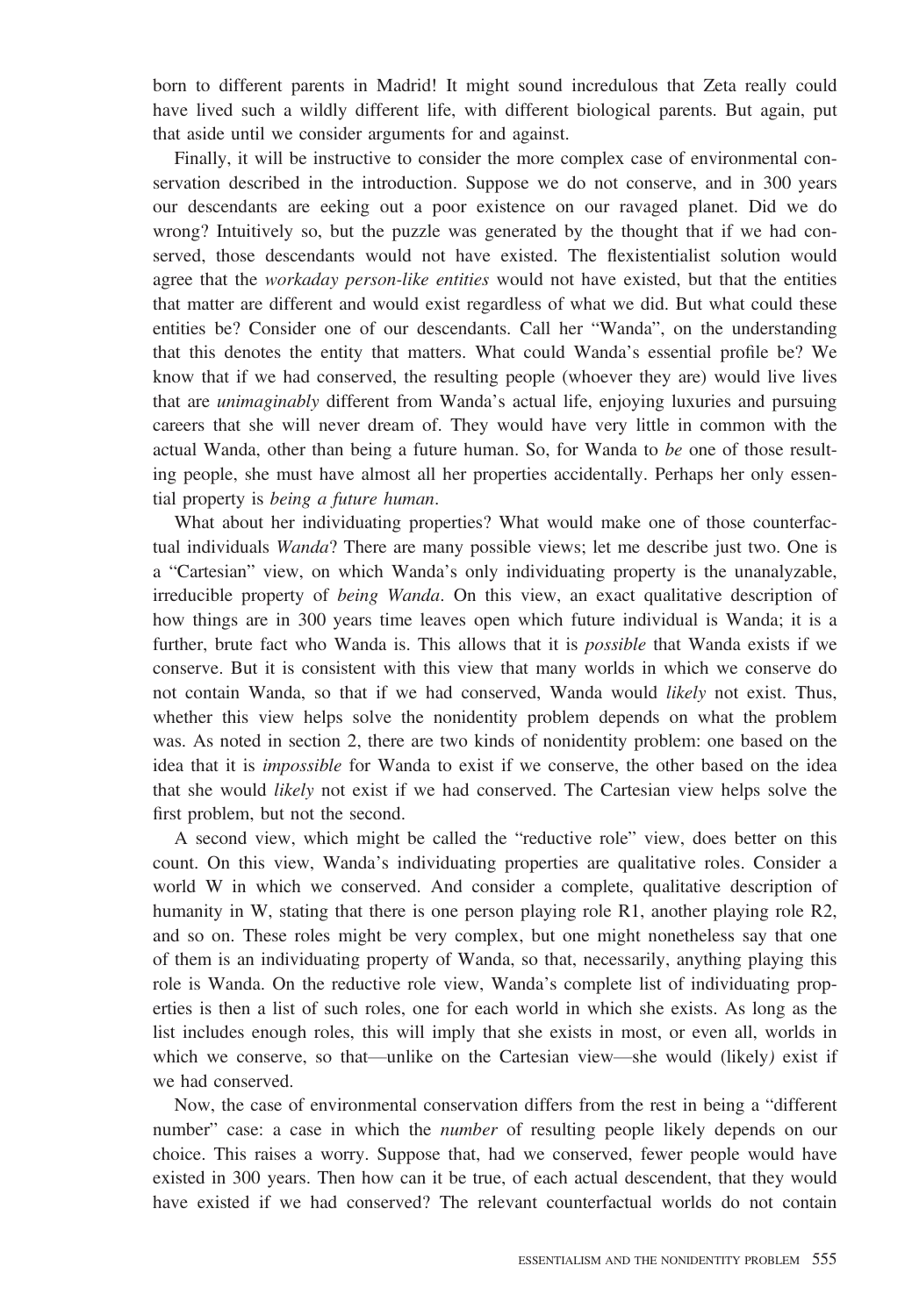born to different parents in Madrid! It might sound incredulous that Zeta really could have lived such a wildly different life, with different biological parents. But again, put that aside until we consider arguments for and against.

Finally, it will be instructive to consider the more complex case of environmental conservation described in the introduction. Suppose we do not conserve, and in 300 years our descendants are eeking out a poor existence on our ravaged planet. Did we do wrong? Intuitively so, but the puzzle was generated by the thought that if we had conserved, those descendants would not have existed. The flexistentialist solution would agree that the *workaday person-like entities* would not have existed, but that the entities that matter are different and would exist regardless of what we did. But what could these entities be? Consider one of our descendants. Call her "Wanda", on the understanding that this denotes the entity that matters. What could Wanda's essential profile be? We know that if we had conserved, the resulting people (whoever they are) would live lives that are unimaginably different from Wanda's actual life, enjoying luxuries and pursuing careers that she will never dream of. They would have very little in common with the actual Wanda, other than being a future human. So, for Wanda to be one of those resulting people, she must have almost all her properties accidentally. Perhaps her only essential property is being a future human.

What about her individuating properties? What would make one of those counterfactual individuals *Wanda*? There are many possible views; let me describe just two. One is a "Cartesian" view, on which Wanda's only individuating property is the unanalyzable, irreducible property of being Wanda. On this view, an exact qualitative description of how things are in 300 years time leaves open which future individual is Wanda; it is a further, brute fact who Wanda is. This allows that it is *possible* that Wanda exists if we conserve. But it is consistent with this view that many worlds in which we conserve do not contain Wanda, so that if we had conserved, Wanda would likely not exist. Thus, whether this view helps solve the nonidentity problem depends on what the problem was. As noted in section 2, there are two kinds of nonidentity problem: one based on the idea that it is impossible for Wanda to exist if we conserve, the other based on the idea that she would likely not exist if we had conserved. The Cartesian view helps solve the first problem, but not the second.

A second view, which might be called the "reductive role" view, does better on this count. On this view, Wanda's individuating properties are qualitative roles. Consider a world W in which we conserved. And consider a complete, qualitative description of humanity in W, stating that there is one person playing role R1, another playing role R2, and so on. These roles might be very complex, but one might nonetheless say that one of them is an individuating property of Wanda, so that, necessarily, anything playing this role is Wanda. On the reductive role view, Wanda's complete list of individuating properties is then a list of such roles, one for each world in which she exists. As long as the list includes enough roles, this will imply that she exists in most, or even all, worlds in which we conserve, so that—unlike on the Cartesian view—she would (likely) exist if we had conserved.

Now, the case of environmental conservation differs from the rest in being a "different number" case: a case in which the *number* of resulting people likely depends on our choice. This raises a worry. Suppose that, had we conserved, fewer people would have existed in 300 years. Then how can it be true, of each actual descendent, that they would have existed if we had conserved? The relevant counterfactual worlds do not contain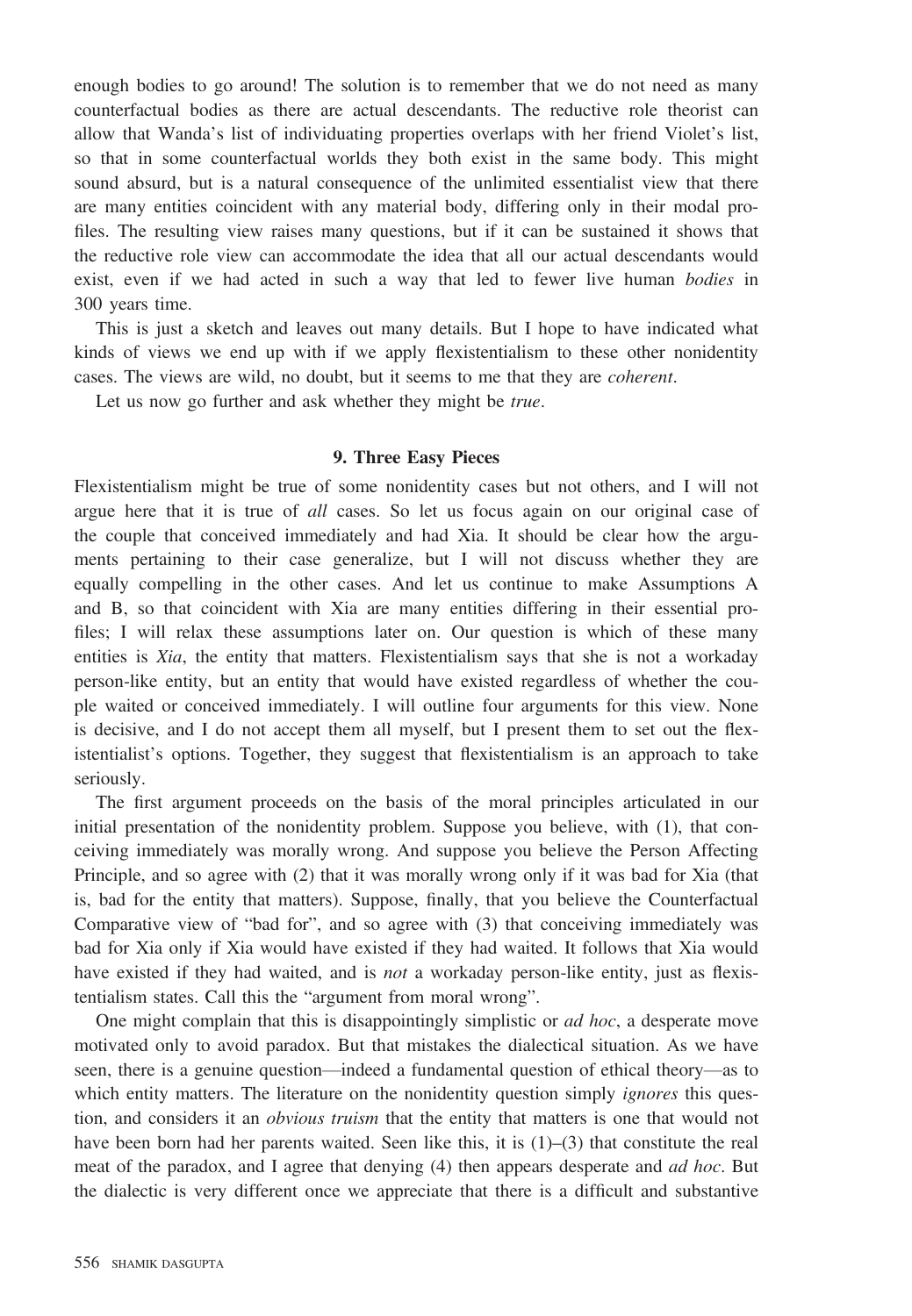enough bodies to go around! The solution is to remember that we do not need as many counterfactual bodies as there are actual descendants. The reductive role theorist can allow that Wanda's list of individuating properties overlaps with her friend Violet's list, so that in some counterfactual worlds they both exist in the same body. This might sound absurd, but is a natural consequence of the unlimited essentialist view that there are many entities coincident with any material body, differing only in their modal profiles. The resulting view raises many questions, but if it can be sustained it shows that the reductive role view can accommodate the idea that all our actual descendants would exist, even if we had acted in such a way that led to fewer live human bodies in 300 years time.

This is just a sketch and leaves out many details. But I hope to have indicated what kinds of views we end up with if we apply flexistentialism to these other nonidentity cases. The views are wild, no doubt, but it seems to me that they are coherent.

Let us now go further and ask whether they might be *true*.

#### 9. Three Easy Pieces

Flexistentialism might be true of some nonidentity cases but not others, and I will not argue here that it is true of all cases. So let us focus again on our original case of the couple that conceived immediately and had Xia. It should be clear how the arguments pertaining to their case generalize, but I will not discuss whether they are equally compelling in the other cases. And let us continue to make Assumptions A and B, so that coincident with Xia are many entities differing in their essential profiles; I will relax these assumptions later on. Our question is which of these many entities is Xia, the entity that matters. Flexistentialism says that she is not a workaday person-like entity, but an entity that would have existed regardless of whether the couple waited or conceived immediately. I will outline four arguments for this view. None is decisive, and I do not accept them all myself, but I present them to set out the flexistentialist's options. Together, they suggest that flexistentialism is an approach to take seriously.

The first argument proceeds on the basis of the moral principles articulated in our initial presentation of the nonidentity problem. Suppose you believe, with (1), that conceiving immediately was morally wrong. And suppose you believe the Person Affecting Principle, and so agree with (2) that it was morally wrong only if it was bad for Xia (that is, bad for the entity that matters). Suppose, finally, that you believe the Counterfactual Comparative view of "bad for", and so agree with (3) that conceiving immediately was bad for Xia only if Xia would have existed if they had waited. It follows that Xia would have existed if they had waited, and is *not* a workaday person-like entity, just as flexistentialism states. Call this the "argument from moral wrong".

One might complain that this is disappointingly simplistic or *ad hoc*, a desperate move motivated only to avoid paradox. But that mistakes the dialectical situation. As we have seen, there is a genuine question—indeed a fundamental question of ethical theory—as to which entity matters. The literature on the nonidentity question simply *ignores* this question, and considers it an obvious truism that the entity that matters is one that would not have been born had her parents waited. Seen like this, it is  $(1)$ – $(3)$  that constitute the real meat of the paradox, and I agree that denying (4) then appears desperate and *ad hoc*. But the dialectic is very different once we appreciate that there is a difficult and substantive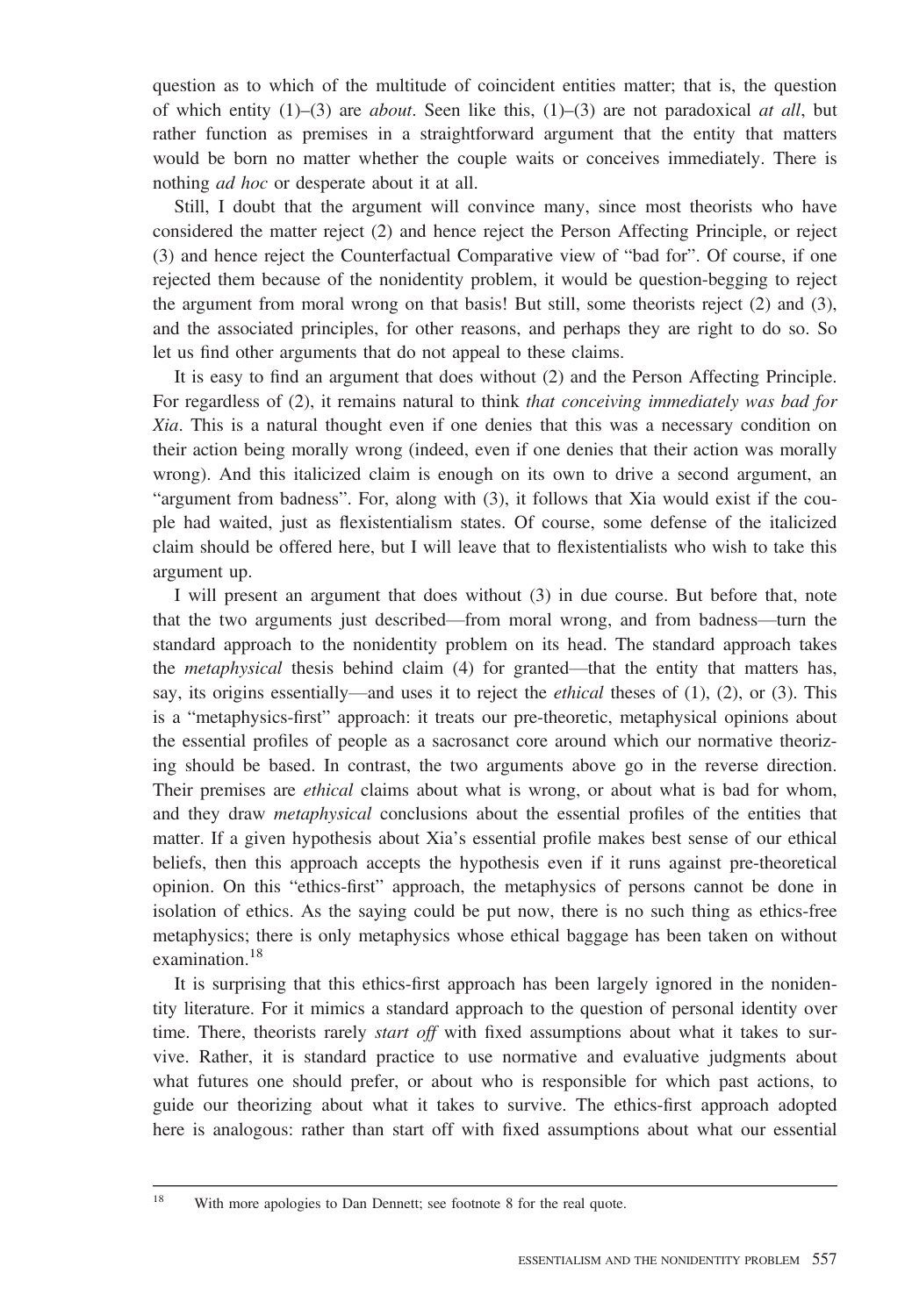question as to which of the multitude of coincident entities matter; that is, the question of which entity  $(1)$ – $(3)$  are *about*. Seen like this,  $(1)$ – $(3)$  are not paradoxical *at all*, but rather function as premises in a straightforward argument that the entity that matters would be born no matter whether the couple waits or conceives immediately. There is nothing ad hoc or desperate about it at all.

Still, I doubt that the argument will convince many, since most theorists who have considered the matter reject (2) and hence reject the Person Affecting Principle, or reject (3) and hence reject the Counterfactual Comparative view of "bad for". Of course, if one rejected them because of the nonidentity problem, it would be question-begging to reject the argument from moral wrong on that basis! But still, some theorists reject (2) and (3), and the associated principles, for other reasons, and perhaps they are right to do so. So let us find other arguments that do not appeal to these claims.

It is easy to find an argument that does without (2) and the Person Affecting Principle. For regardless of (2), it remains natural to think *that conceiving immediately was bad for* Xia. This is a natural thought even if one denies that this was a necessary condition on their action being morally wrong (indeed, even if one denies that their action was morally wrong). And this italicized claim is enough on its own to drive a second argument, an "argument from badness". For, along with (3), it follows that Xia would exist if the couple had waited, just as flexistentialism states. Of course, some defense of the italicized claim should be offered here, but I will leave that to flexistentialists who wish to take this argument up.

I will present an argument that does without (3) in due course. But before that, note that the two arguments just described—from moral wrong, and from badness—turn the standard approach to the nonidentity problem on its head. The standard approach takes the metaphysical thesis behind claim (4) for granted—that the entity that matters has, say, its origins essentially—and uses it to reject the *ethical* theses of  $(1)$ ,  $(2)$ , or  $(3)$ . This is a "metaphysics-first" approach: it treats our pre-theoretic, metaphysical opinions about the essential profiles of people as a sacrosanct core around which our normative theorizing should be based. In contrast, the two arguments above go in the reverse direction. Their premises are *ethical* claims about what is wrong, or about what is bad for whom, and they draw *metaphysical* conclusions about the essential profiles of the entities that matter. If a given hypothesis about Xia's essential profile makes best sense of our ethical beliefs, then this approach accepts the hypothesis even if it runs against pre-theoretical opinion. On this "ethics-first" approach, the metaphysics of persons cannot be done in isolation of ethics. As the saying could be put now, there is no such thing as ethics-free metaphysics; there is only metaphysics whose ethical baggage has been taken on without examination.<sup>18</sup>

It is surprising that this ethics-first approach has been largely ignored in the nonidentity literature. For it mimics a standard approach to the question of personal identity over time. There, theorists rarely *start off* with fixed assumptions about what it takes to survive. Rather, it is standard practice to use normative and evaluative judgments about what futures one should prefer, or about who is responsible for which past actions, to guide our theorizing about what it takes to survive. The ethics-first approach adopted here is analogous: rather than start off with fixed assumptions about what our essential

<sup>18</sup> With more apologies to Dan Dennett; see footnote 8 for the real quote.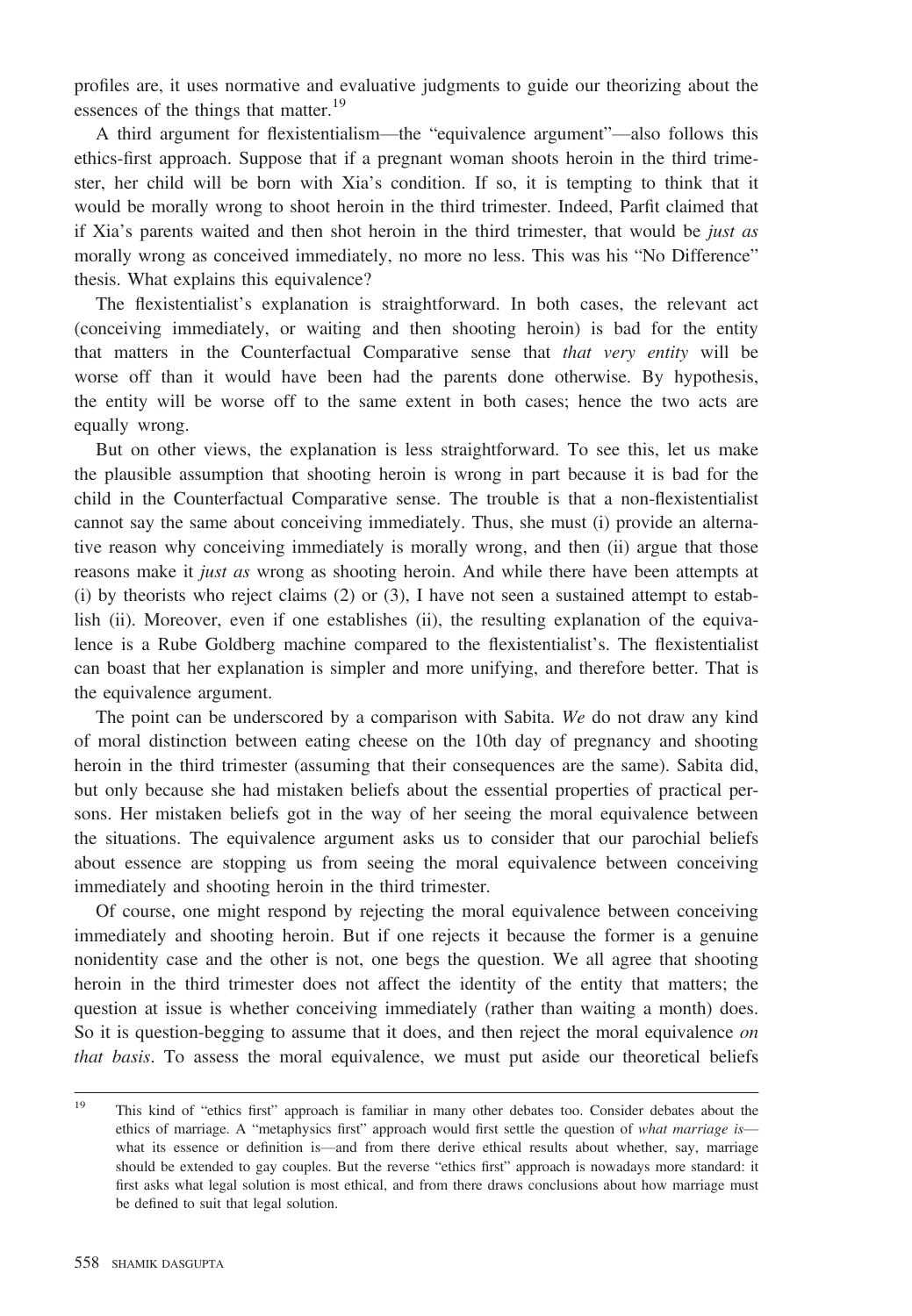profiles are, it uses normative and evaluative judgments to guide our theorizing about the essences of the things that matter.<sup>19</sup>

A third argument for flexistentialism—the "equivalence argument"—also follows this ethics-first approach. Suppose that if a pregnant woman shoots heroin in the third trimester, her child will be born with Xia's condition. If so, it is tempting to think that it would be morally wrong to shoot heroin in the third trimester. Indeed, Parfit claimed that if Xia's parents waited and then shot heroin in the third trimester, that would be just as morally wrong as conceived immediately, no more no less. This was his "No Difference" thesis. What explains this equivalence?

The flexistentialist's explanation is straightforward. In both cases, the relevant act (conceiving immediately, or waiting and then shooting heroin) is bad for the entity that matters in the Counterfactual Comparative sense that that very entity will be worse off than it would have been had the parents done otherwise. By hypothesis, the entity will be worse off to the same extent in both cases; hence the two acts are equally wrong.

But on other views, the explanation is less straightforward. To see this, let us make the plausible assumption that shooting heroin is wrong in part because it is bad for the child in the Counterfactual Comparative sense. The trouble is that a non-flexistentialist cannot say the same about conceiving immediately. Thus, she must (i) provide an alternative reason why conceiving immediately is morally wrong, and then (ii) argue that those reasons make it *just as* wrong as shooting heroin. And while there have been attempts at (i) by theorists who reject claims  $(2)$  or  $(3)$ , I have not seen a sustained attempt to establish (ii). Moreover, even if one establishes (ii), the resulting explanation of the equivalence is a Rube Goldberg machine compared to the flexistentialist's. The flexistentialist can boast that her explanation is simpler and more unifying, and therefore better. That is the equivalence argument.

The point can be underscored by a comparison with Sabita. We do not draw any kind of moral distinction between eating cheese on the 10th day of pregnancy and shooting heroin in the third trimester (assuming that their consequences are the same). Sabita did, but only because she had mistaken beliefs about the essential properties of practical persons. Her mistaken beliefs got in the way of her seeing the moral equivalence between the situations. The equivalence argument asks us to consider that our parochial beliefs about essence are stopping us from seeing the moral equivalence between conceiving immediately and shooting heroin in the third trimester.

Of course, one might respond by rejecting the moral equivalence between conceiving immediately and shooting heroin. But if one rejects it because the former is a genuine nonidentity case and the other is not, one begs the question. We all agree that shooting heroin in the third trimester does not affect the identity of the entity that matters; the question at issue is whether conceiving immediately (rather than waiting a month) does. So it is question-begging to assume that it does, and then reject the moral equivalence on that basis. To assess the moral equivalence, we must put aside our theoretical beliefs

<sup>&</sup>lt;sup>19</sup> This kind of "ethics first" approach is familiar in many other debates too. Consider debates about the ethics of marriage. A "metaphysics first" approach would first settle the question of what marriage is what its essence or definition is—and from there derive ethical results about whether, say, marriage should be extended to gay couples. But the reverse "ethics first" approach is nowadays more standard: it first asks what legal solution is most ethical, and from there draws conclusions about how marriage must be defined to suit that legal solution.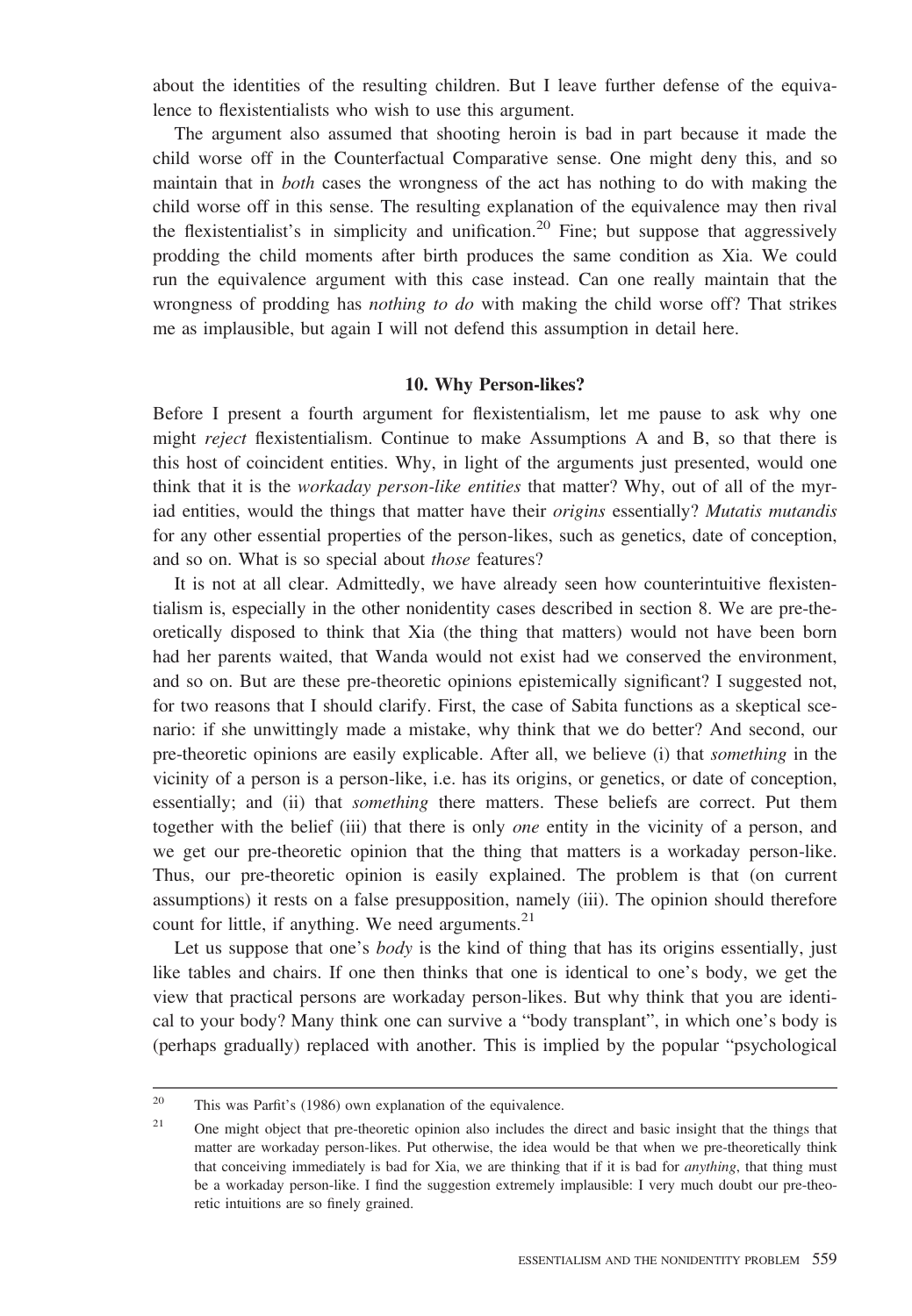about the identities of the resulting children. But I leave further defense of the equivalence to flexistentialists who wish to use this argument.

The argument also assumed that shooting heroin is bad in part because it made the child worse off in the Counterfactual Comparative sense. One might deny this, and so maintain that in both cases the wrongness of the act has nothing to do with making the child worse off in this sense. The resulting explanation of the equivalence may then rival the flexistentialist's in simplicity and unification.<sup>20</sup> Fine; but suppose that aggressively prodding the child moments after birth produces the same condition as Xia. We could run the equivalence argument with this case instead. Can one really maintain that the wrongness of prodding has nothing to do with making the child worse off? That strikes me as implausible, but again I will not defend this assumption in detail here.

# 10. Why Person-likes?

Before I present a fourth argument for flexistentialism, let me pause to ask why one might reject flexistentialism. Continue to make Assumptions A and B, so that there is this host of coincident entities. Why, in light of the arguments just presented, would one think that it is the workaday person-like entities that matter? Why, out of all of the myriad entities, would the things that matter have their *origins* essentially? *Mutatis mutandis* for any other essential properties of the person-likes, such as genetics, date of conception, and so on. What is so special about those features?

It is not at all clear. Admittedly, we have already seen how counterintuitive flexistentialism is, especially in the other nonidentity cases described in section 8. We are pre-theoretically disposed to think that Xia (the thing that matters) would not have been born had her parents waited, that Wanda would not exist had we conserved the environment, and so on. But are these pre-theoretic opinions epistemically significant? I suggested not, for two reasons that I should clarify. First, the case of Sabita functions as a skeptical scenario: if she unwittingly made a mistake, why think that we do better? And second, our pre-theoretic opinions are easily explicable. After all, we believe (i) that something in the vicinity of a person is a person-like, i.e. has its origins, or genetics, or date of conception, essentially; and (ii) that *something* there matters. These beliefs are correct. Put them together with the belief (iii) that there is only *one* entity in the vicinity of a person, and we get our pre-theoretic opinion that the thing that matters is a workaday person-like. Thus, our pre-theoretic opinion is easily explained. The problem is that (on current assumptions) it rests on a false presupposition, namely (iii). The opinion should therefore count for little, if anything. We need arguments. $^{21}$ 

Let us suppose that one's *body* is the kind of thing that has its origins essentially, just like tables and chairs. If one then thinks that one is identical to one's body, we get the view that practical persons are workaday person-likes. But why think that you are identical to your body? Many think one can survive a "body transplant", in which one's body is (perhaps gradually) replaced with another. This is implied by the popular "psychological

<sup>20</sup> This was Parfit's (1986) own explanation of the equivalence.

<sup>&</sup>lt;sup>21</sup> One might object that pre-theoretic opinion also includes the direct and basic insight that the things that matter are workaday person-likes. Put otherwise, the idea would be that when we pre-theoretically think that conceiving immediately is bad for Xia, we are thinking that if it is bad for *anything*, that thing must be a workaday person-like. I find the suggestion extremely implausible: I very much doubt our pre-theoretic intuitions are so finely grained.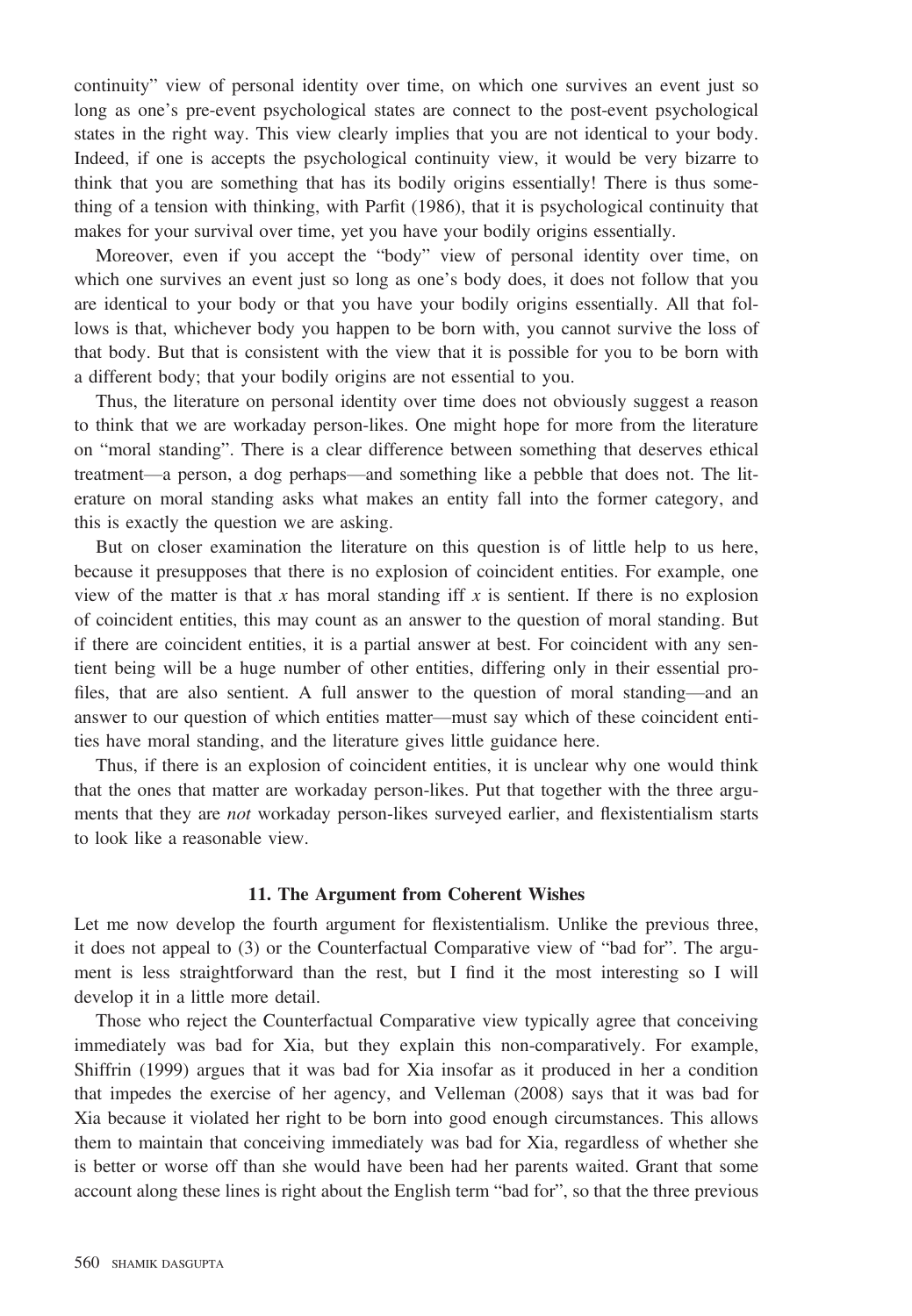continuity" view of personal identity over time, on which one survives an event just so long as one's pre-event psychological states are connect to the post-event psychological states in the right way. This view clearly implies that you are not identical to your body. Indeed, if one is accepts the psychological continuity view, it would be very bizarre to think that you are something that has its bodily origins essentially! There is thus something of a tension with thinking, with Parfit (1986), that it is psychological continuity that makes for your survival over time, yet you have your bodily origins essentially.

Moreover, even if you accept the "body" view of personal identity over time, on which one survives an event just so long as one's body does, it does not follow that you are identical to your body or that you have your bodily origins essentially. All that follows is that, whichever body you happen to be born with, you cannot survive the loss of that body. But that is consistent with the view that it is possible for you to be born with a different body; that your bodily origins are not essential to you.

Thus, the literature on personal identity over time does not obviously suggest a reason to think that we are workaday person-likes. One might hope for more from the literature on "moral standing". There is a clear difference between something that deserves ethical treatment—a person, a dog perhaps—and something like a pebble that does not. The literature on moral standing asks what makes an entity fall into the former category, and this is exactly the question we are asking.

But on closer examination the literature on this question is of little help to us here, because it presupposes that there is no explosion of coincident entities. For example, one view of the matter is that x has moral standing iff x is sentient. If there is no explosion of coincident entities, this may count as an answer to the question of moral standing. But if there are coincident entities, it is a partial answer at best. For coincident with any sentient being will be a huge number of other entities, differing only in their essential profiles, that are also sentient. A full answer to the question of moral standing—and an answer to our question of which entities matter—must say which of these coincident entities have moral standing, and the literature gives little guidance here.

Thus, if there is an explosion of coincident entities, it is unclear why one would think that the ones that matter are workaday person-likes. Put that together with the three arguments that they are not workaday person-likes surveyed earlier, and flexistentialism starts to look like a reasonable view.

#### 11. The Argument from Coherent Wishes

Let me now develop the fourth argument for flexistentialism. Unlike the previous three, it does not appeal to (3) or the Counterfactual Comparative view of "bad for". The argument is less straightforward than the rest, but I find it the most interesting so I will develop it in a little more detail.

Those who reject the Counterfactual Comparative view typically agree that conceiving immediately was bad for Xia, but they explain this non-comparatively. For example, Shiffrin (1999) argues that it was bad for Xia insofar as it produced in her a condition that impedes the exercise of her agency, and Velleman (2008) says that it was bad for Xia because it violated her right to be born into good enough circumstances. This allows them to maintain that conceiving immediately was bad for Xia, regardless of whether she is better or worse off than she would have been had her parents waited. Grant that some account along these lines is right about the English term "bad for", so that the three previous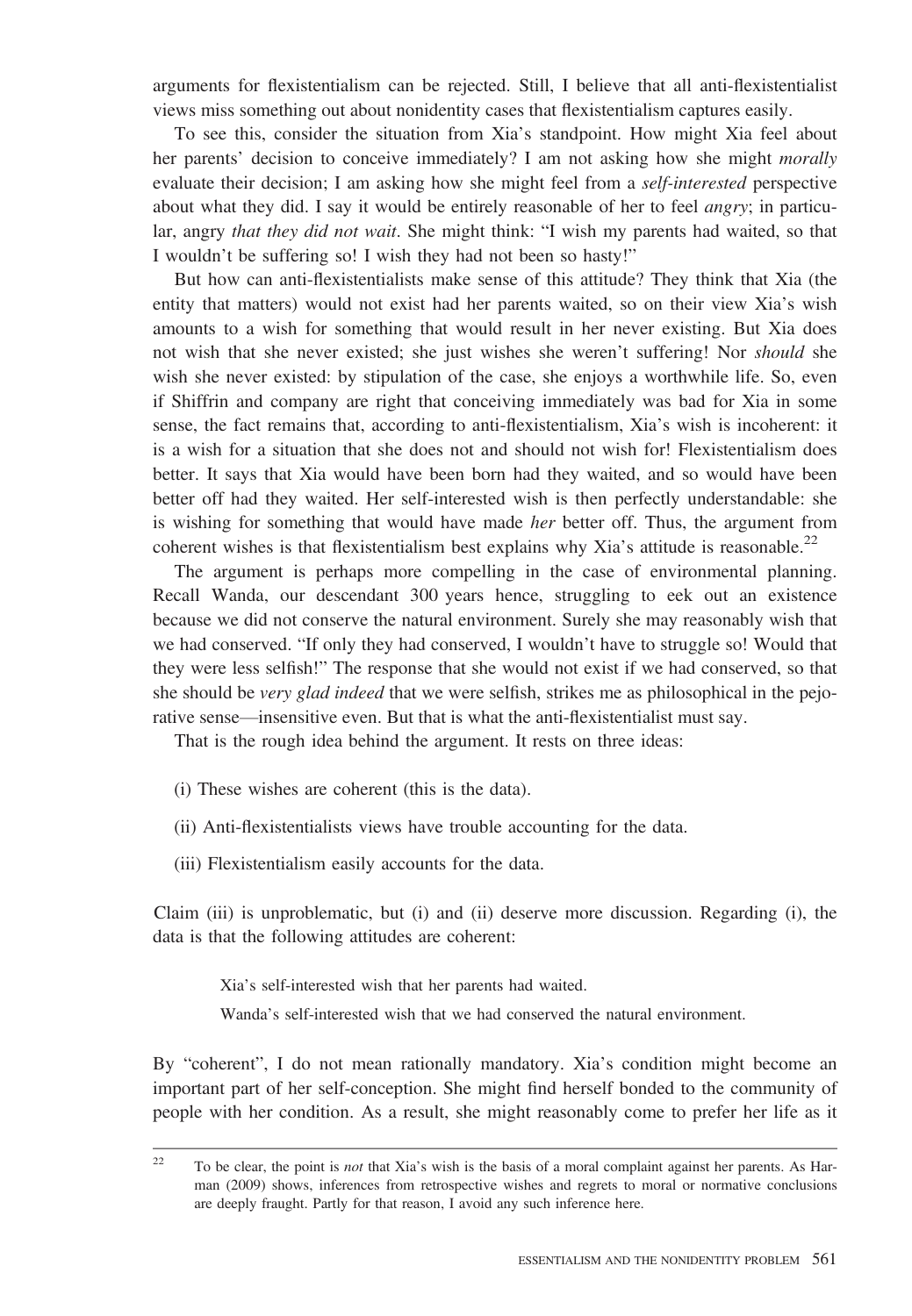arguments for flexistentialism can be rejected. Still, I believe that all anti-flexistentialist views miss something out about nonidentity cases that flexistentialism captures easily.

To see this, consider the situation from Xia's standpoint. How might Xia feel about her parents' decision to conceive immediately? I am not asking how she might *morally* evaluate their decision; I am asking how she might feel from a *self-interested* perspective about what they did. I say it would be entirely reasonable of her to feel angry; in particular, angry that they did not wait. She might think: "I wish my parents had waited, so that I wouldn't be suffering so! I wish they had not been so hasty!"

But how can anti-flexistentialists make sense of this attitude? They think that Xia (the entity that matters) would not exist had her parents waited, so on their view Xia's wish amounts to a wish for something that would result in her never existing. But Xia does not wish that she never existed; she just wishes she weren't suffering! Nor should she wish she never existed: by stipulation of the case, she enjoys a worthwhile life. So, even if Shiffrin and company are right that conceiving immediately was bad for Xia in some sense, the fact remains that, according to anti-flexistentialism, Xia's wish is incoherent: it is a wish for a situation that she does not and should not wish for! Flexistentialism does better. It says that Xia would have been born had they waited, and so would have been better off had they waited. Her self-interested wish is then perfectly understandable: she is wishing for something that would have made her better off. Thus, the argument from coherent wishes is that flexistentialism best explains why Xia's attitude is reasonable.<sup>22</sup>

The argument is perhaps more compelling in the case of environmental planning. Recall Wanda, our descendant 300 years hence, struggling to eek out an existence because we did not conserve the natural environment. Surely she may reasonably wish that we had conserved. "If only they had conserved, I wouldn't have to struggle so! Would that they were less selfish!" The response that she would not exist if we had conserved, so that she should be very glad indeed that we were selfish, strikes me as philosophical in the pejorative sense—insensitive even. But that is what the anti-flexistentialist must say.

That is the rough idea behind the argument. It rests on three ideas:

- (i) These wishes are coherent (this is the data).
- (ii) Anti-flexistentialists views have trouble accounting for the data.
- (iii) Flexistentialism easily accounts for the data.

Claim (iii) is unproblematic, but (i) and (ii) deserve more discussion. Regarding (i), the data is that the following attitudes are coherent:

Xia's self-interested wish that her parents had waited.

Wanda's self-interested wish that we had conserved the natural environment.

By "coherent", I do not mean rationally mandatory. Xia's condition might become an important part of her self-conception. She might find herself bonded to the community of people with her condition. As a result, she might reasonably come to prefer her life as it

<sup>&</sup>lt;sup>22</sup> To be clear, the point is *not* that Xia's wish is the basis of a moral complaint against her parents. As Harman (2009) shows, inferences from retrospective wishes and regrets to moral or normative conclusions are deeply fraught. Partly for that reason, I avoid any such inference here.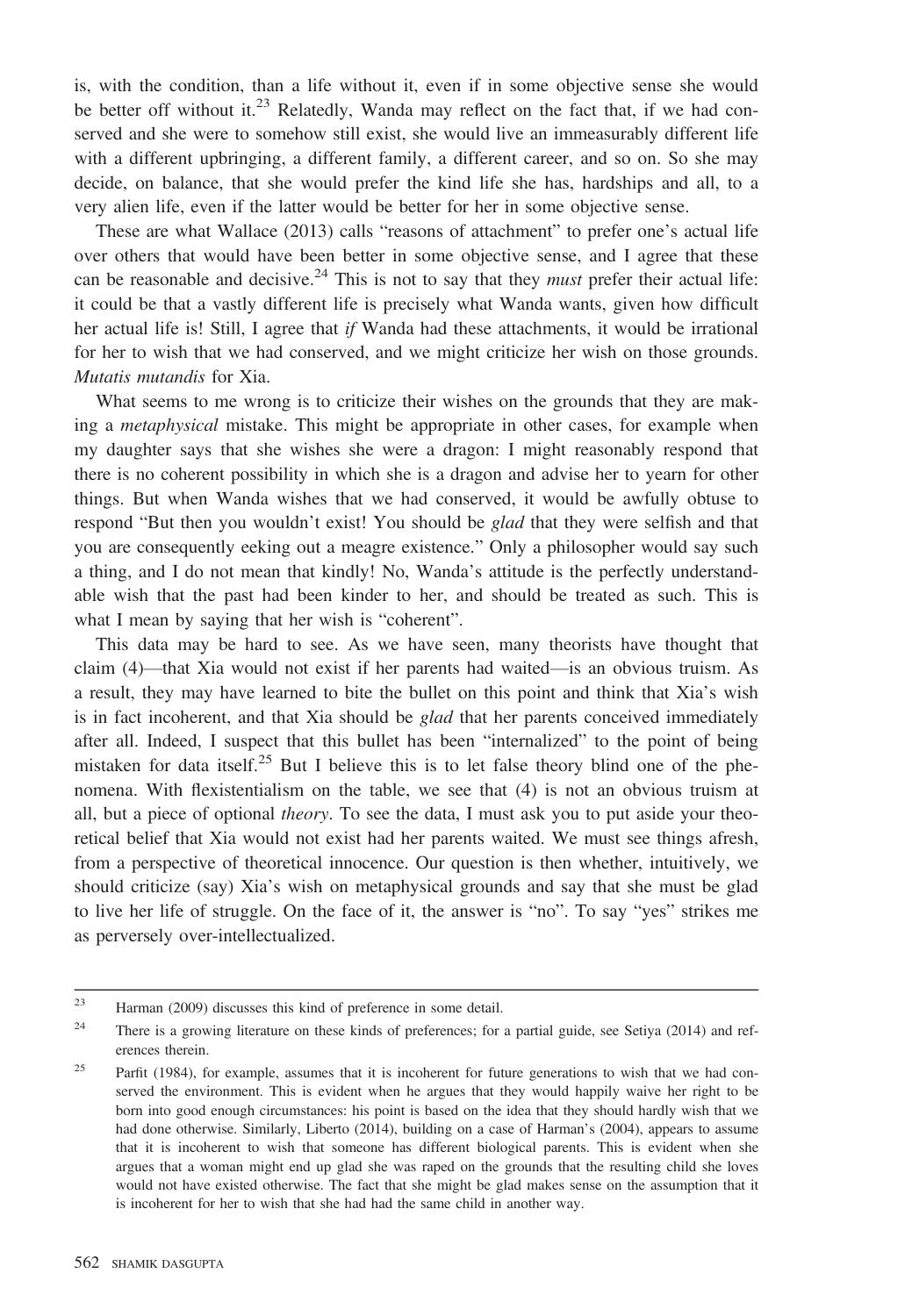is, with the condition, than a life without it, even if in some objective sense she would be better off without it.<sup>23</sup> Relatedly, Wanda may reflect on the fact that, if we had conserved and she were to somehow still exist, she would live an immeasurably different life with a different upbringing, a different family, a different career, and so on. So she may decide, on balance, that she would prefer the kind life she has, hardships and all, to a very alien life, even if the latter would be better for her in some objective sense.

These are what Wallace (2013) calls "reasons of attachment" to prefer one's actual life over others that would have been better in some objective sense, and I agree that these can be reasonable and decisive.<sup>24</sup> This is not to say that they *must* prefer their actual life: it could be that a vastly different life is precisely what Wanda wants, given how difficult her actual life is! Still, I agree that *if* Wanda had these attachments, it would be irrational for her to wish that we had conserved, and we might criticize her wish on those grounds. Mutatis mutandis for Xia.

What seems to me wrong is to criticize their wishes on the grounds that they are making a *metaphysical* mistake. This might be appropriate in other cases, for example when my daughter says that she wishes she were a dragon: I might reasonably respond that there is no coherent possibility in which she is a dragon and advise her to yearn for other things. But when Wanda wishes that we had conserved, it would be awfully obtuse to respond "But then you wouldn't exist! You should be *glad* that they were selfish and that you are consequently eeking out a meagre existence." Only a philosopher would say such a thing, and I do not mean that kindly! No, Wanda's attitude is the perfectly understandable wish that the past had been kinder to her, and should be treated as such. This is what I mean by saying that her wish is "coherent".

This data may be hard to see. As we have seen, many theorists have thought that claim (4)—that Xia would not exist if her parents had waited—is an obvious truism. As a result, they may have learned to bite the bullet on this point and think that Xia's wish is in fact incoherent, and that Xia should be *glad* that her parents conceived immediately after all. Indeed, I suspect that this bullet has been "internalized" to the point of being mistaken for data itself.<sup>25</sup> But I believe this is to let false theory blind one of the phenomena. With flexistentialism on the table, we see that (4) is not an obvious truism at all, but a piece of optional *theory*. To see the data, I must ask you to put aside your theoretical belief that Xia would not exist had her parents waited. We must see things afresh, from a perspective of theoretical innocence. Our question is then whether, intuitively, we should criticize (say) Xia's wish on metaphysical grounds and say that she must be glad to live her life of struggle. On the face of it, the answer is "no". To say "yes" strikes me as perversely over-intellectualized.

<sup>23</sup> Harman (2009) discusses this kind of preference in some detail.

<sup>&</sup>lt;sup>24</sup> There is a growing literature on these kinds of preferences; for a partial guide, see Setiya (2014) and references therein.

<sup>&</sup>lt;sup>25</sup> Parfit (1984), for example, assumes that it is incoherent for future generations to wish that we had conserved the environment. This is evident when he argues that they would happily waive her right to be born into good enough circumstances: his point is based on the idea that they should hardly wish that we had done otherwise. Similarly, Liberto (2014), building on a case of Harman's (2004), appears to assume that it is incoherent to wish that someone has different biological parents. This is evident when she argues that a woman might end up glad she was raped on the grounds that the resulting child she loves would not have existed otherwise. The fact that she might be glad makes sense on the assumption that it is incoherent for her to wish that she had had the same child in another way.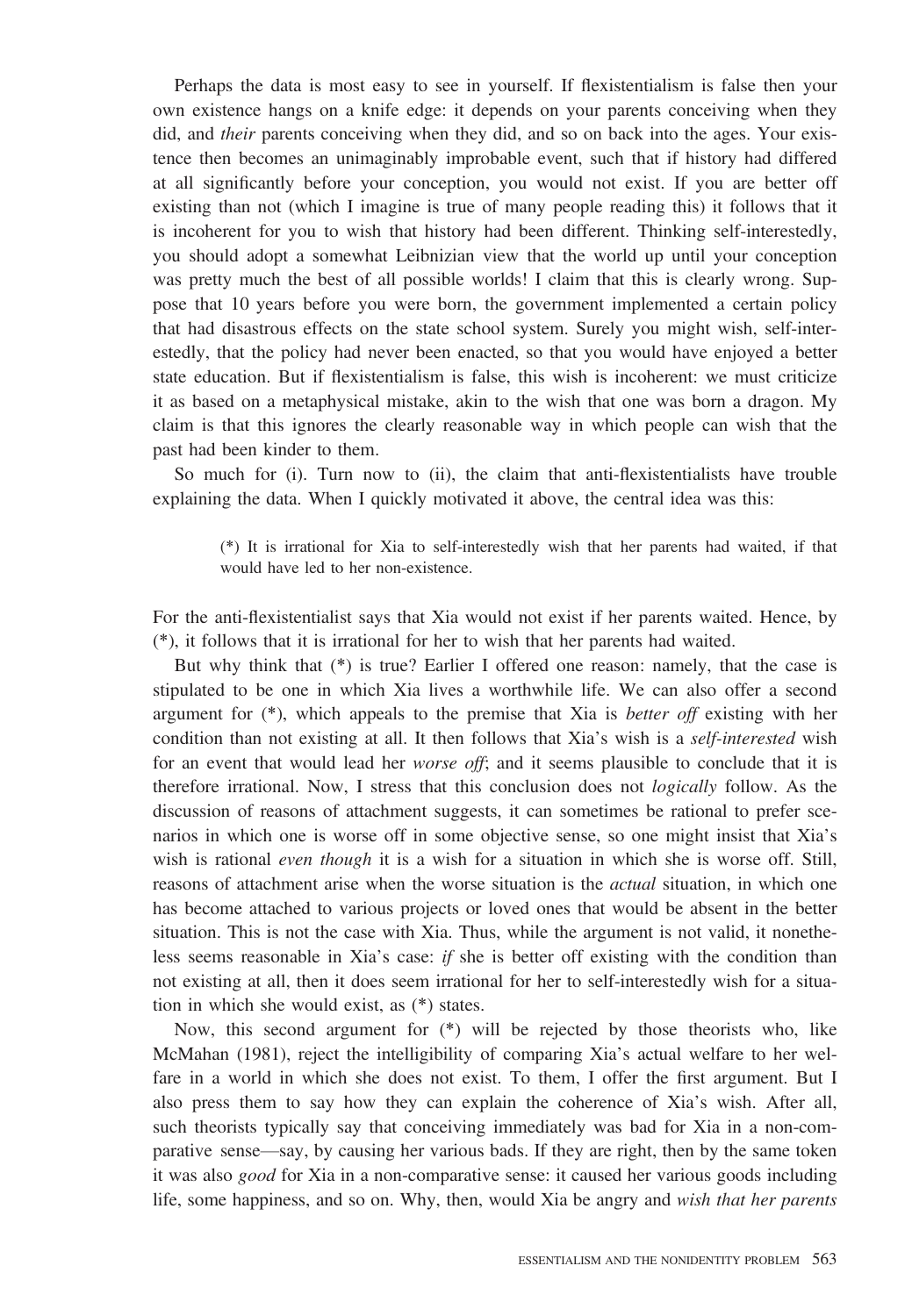Perhaps the data is most easy to see in yourself. If flexistentialism is false then your own existence hangs on a knife edge: it depends on your parents conceiving when they did, and their parents conceiving when they did, and so on back into the ages. Your existence then becomes an unimaginably improbable event, such that if history had differed at all significantly before your conception, you would not exist. If you are better off existing than not (which I imagine is true of many people reading this) it follows that it is incoherent for you to wish that history had been different. Thinking self-interestedly, you should adopt a somewhat Leibnizian view that the world up until your conception was pretty much the best of all possible worlds! I claim that this is clearly wrong. Suppose that 10 years before you were born, the government implemented a certain policy that had disastrous effects on the state school system. Surely you might wish, self-interestedly, that the policy had never been enacted, so that you would have enjoyed a better state education. But if flexistentialism is false, this wish is incoherent: we must criticize it as based on a metaphysical mistake, akin to the wish that one was born a dragon. My claim is that this ignores the clearly reasonable way in which people can wish that the past had been kinder to them.

So much for (i). Turn now to (ii), the claim that anti-flexistentialists have trouble explaining the data. When I quickly motivated it above, the central idea was this:

(\*) It is irrational for Xia to self-interestedly wish that her parents had waited, if that would have led to her non-existence.

For the anti-flexistentialist says that Xia would not exist if her parents waited. Hence, by (\*), it follows that it is irrational for her to wish that her parents had waited.

But why think that (\*) is true? Earlier I offered one reason: namely, that the case is stipulated to be one in which Xia lives a worthwhile life. We can also offer a second argument for  $(*)$ , which appeals to the premise that Xia is *better off* existing with her condition than not existing at all. It then follows that Xia's wish is a *self-interested* wish for an event that would lead her *worse off*; and it seems plausible to conclude that it is therefore irrational. Now, I stress that this conclusion does not logically follow. As the discussion of reasons of attachment suggests, it can sometimes be rational to prefer scenarios in which one is worse off in some objective sense, so one might insist that Xia's wish is rational *even though* it is a wish for a situation in which she is worse off. Still, reasons of attachment arise when the worse situation is the *actual* situation, in which one has become attached to various projects or loved ones that would be absent in the better situation. This is not the case with Xia. Thus, while the argument is not valid, it nonetheless seems reasonable in Xia's case: if she is better off existing with the condition than not existing at all, then it does seem irrational for her to self-interestedly wish for a situation in which she would exist, as (\*) states.

Now, this second argument for (\*) will be rejected by those theorists who, like McMahan (1981), reject the intelligibility of comparing Xia's actual welfare to her welfare in a world in which she does not exist. To them, I offer the first argument. But I also press them to say how they can explain the coherence of Xia's wish. After all, such theorists typically say that conceiving immediately was bad for Xia in a non-comparative sense—say, by causing her various bads. If they are right, then by the same token it was also good for Xia in a non-comparative sense: it caused her various goods including life, some happiness, and so on. Why, then, would Xia be angry and wish that her parents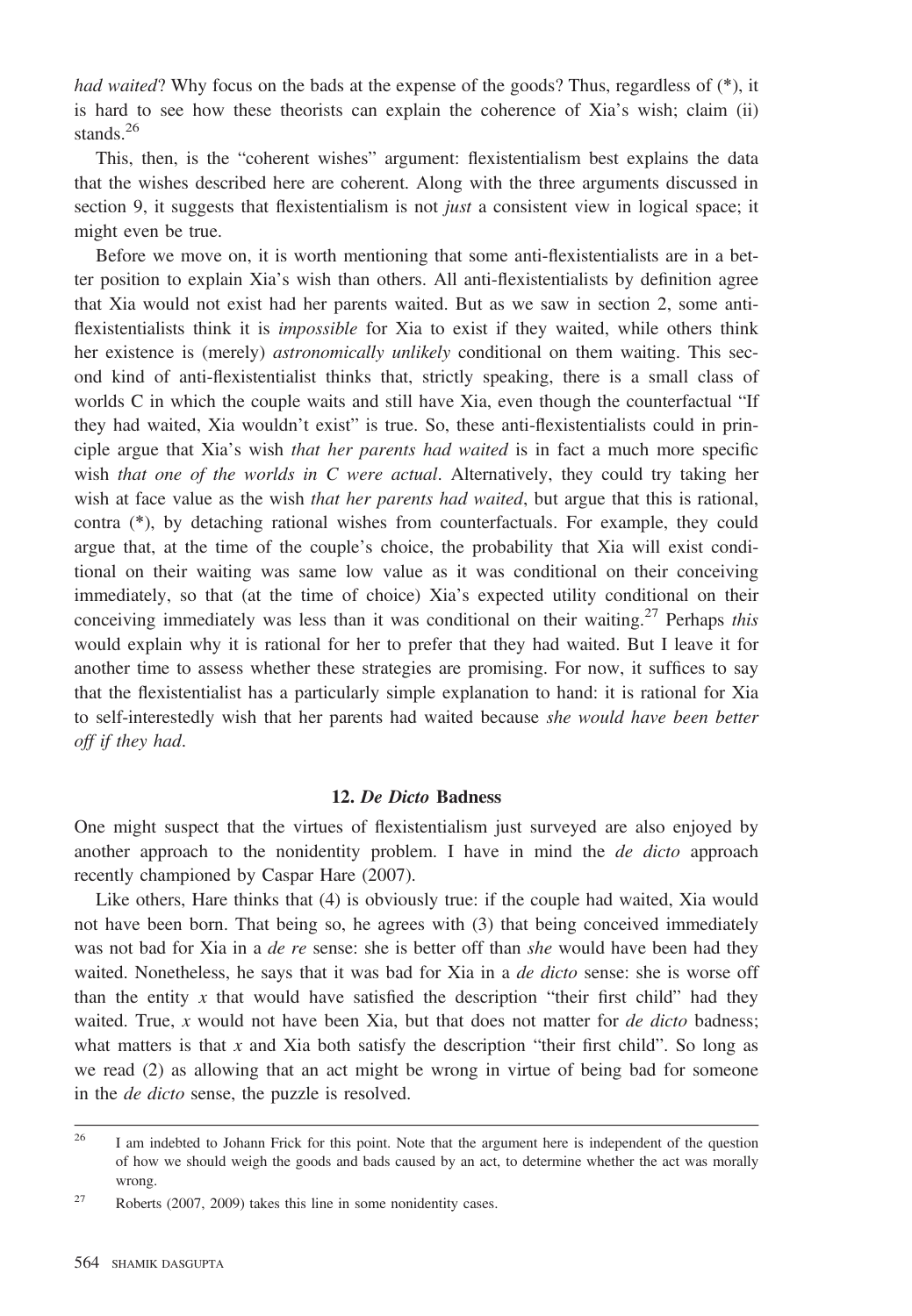had waited? Why focus on the bads at the expense of the goods? Thus, regardless of  $(*)$ , it is hard to see how these theorists can explain the coherence of Xia's wish; claim (ii) stands.<sup>26</sup>

This, then, is the "coherent wishes" argument: flexistentialism best explains the data that the wishes described here are coherent. Along with the three arguments discussed in section 9, it suggests that flexistentialism is not *just* a consistent view in logical space; it might even be true.

Before we move on, it is worth mentioning that some anti-flexistentialists are in a better position to explain Xia's wish than others. All anti-flexistentialists by definition agree that Xia would not exist had her parents waited. But as we saw in section 2, some antiflexistentialists think it is impossible for Xia to exist if they waited, while others think her existence is (merely) *astronomically unlikely* conditional on them waiting. This second kind of anti-flexistentialist thinks that, strictly speaking, there is a small class of worlds C in which the couple waits and still have Xia, even though the counterfactual "If they had waited, Xia wouldn't exist" is true. So, these anti-flexistentialists could in principle argue that Xia's wish that her parents had waited is in fact a much more specific wish that one of the worlds in C were actual. Alternatively, they could try taking her wish at face value as the wish *that her parents had waited*, but argue that this is rational, contra (\*), by detaching rational wishes from counterfactuals. For example, they could argue that, at the time of the couple's choice, the probability that Xia will exist conditional on their waiting was same low value as it was conditional on their conceiving immediately, so that (at the time of choice) Xia's expected utility conditional on their conceiving immediately was less than it was conditional on their waiting.<sup>27</sup> Perhaps this would explain why it is rational for her to prefer that they had waited. But I leave it for another time to assess whether these strategies are promising. For now, it suffices to say that the flexistentialist has a particularly simple explanation to hand: it is rational for Xia to self-interestedly wish that her parents had waited because she would have been better off if they had.

### 12. De Dicto Badness

One might suspect that the virtues of flexistentialism just surveyed are also enjoyed by another approach to the nonidentity problem. I have in mind the de dicto approach recently championed by Caspar Hare (2007).

Like others, Hare thinks that (4) is obviously true: if the couple had waited, Xia would not have been born. That being so, he agrees with (3) that being conceived immediately was not bad for Xia in a *de re* sense: she is better off than *she* would have been had they waited. Nonetheless, he says that it was bad for Xia in a de dicto sense: she is worse off than the entity  $x$  that would have satisfied the description "their first child" had they waited. True,  $x$  would not have been Xia, but that does not matter for *de dicto* badness; what matters is that x and Xia both satisfy the description "their first child". So long as we read (2) as allowing that an act might be wrong in virtue of being bad for someone in the de dicto sense, the puzzle is resolved.

<sup>&</sup>lt;sup>26</sup> I am indebted to Johann Frick for this point. Note that the argument here is independent of the question of how we should weigh the goods and bads caused by an act, to determine whether the act was morally wrong.

<sup>27</sup> Roberts (2007, 2009) takes this line in some nonidentity cases.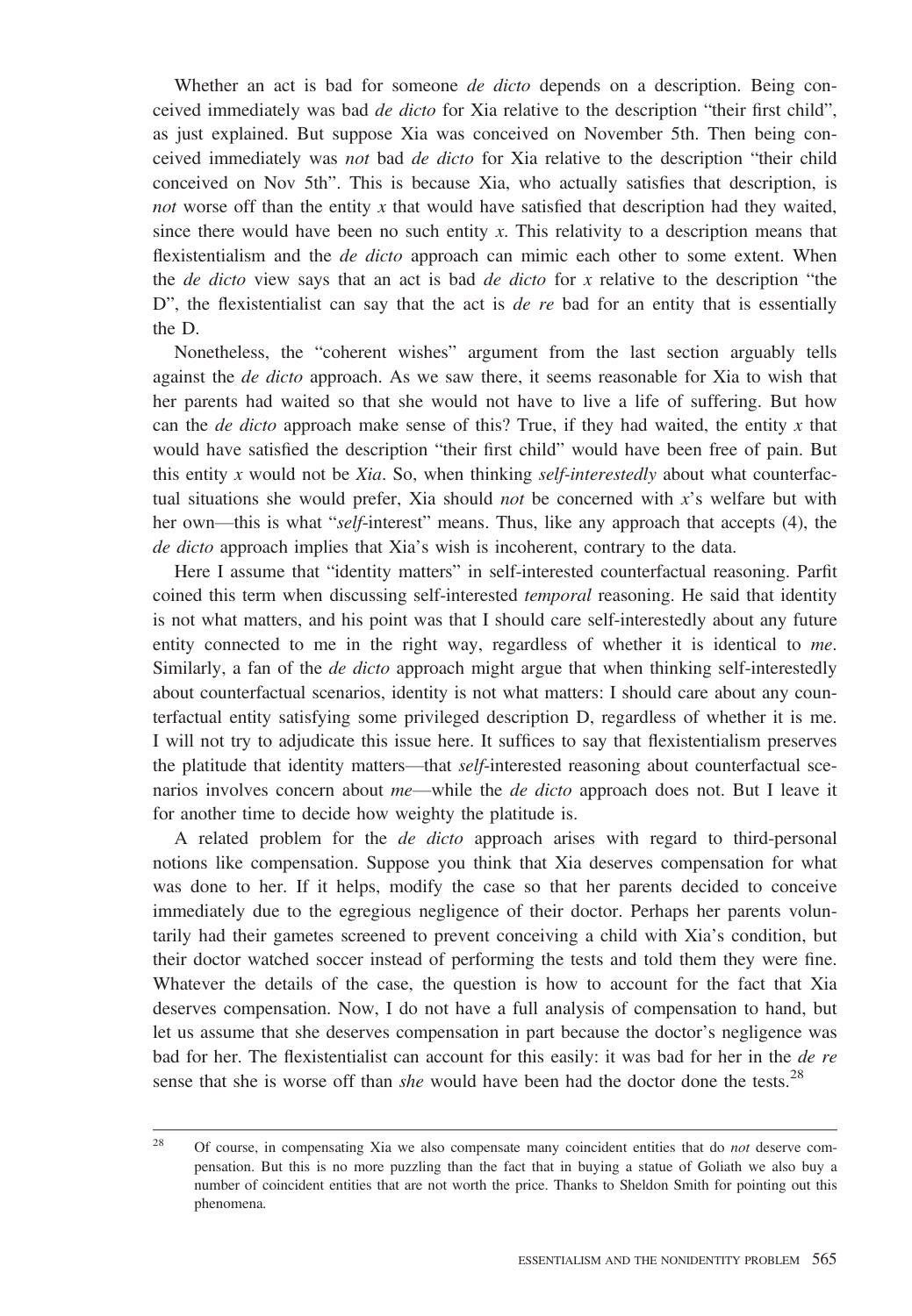Whether an act is bad for someone *de dicto* depends on a description. Being conceived immediately was bad *de dicto* for Xia relative to the description "their first child", as just explained. But suppose Xia was conceived on November 5th. Then being conceived immediately was not bad de dicto for Xia relative to the description "their child conceived on Nov 5th". This is because Xia, who actually satisfies that description, is not worse off than the entity  $x$  that would have satisfied that description had they waited, since there would have been no such entity  $x$ . This relativity to a description means that flexistentialism and the *de dicto* approach can mimic each other to some extent. When the *de dicto* view says that an act is bad *de dicto* for x relative to the description "the D", the flexistentialist can say that the act is *de re* bad for an entity that is essentially the D.

Nonetheless, the "coherent wishes" argument from the last section arguably tells against the de dicto approach. As we saw there, it seems reasonable for Xia to wish that her parents had waited so that she would not have to live a life of suffering. But how can the *de dicto* approach make sense of this? True, if they had waited, the entity x that would have satisfied the description "their first child" would have been free of pain. But this entity x would not be Xia. So, when thinking self-interestedly about what counterfactual situations she would prefer, Xia should *not* be concerned with  $x$ 's welfare but with her own—this is what "self-interest" means. Thus, like any approach that accepts (4), the de dicto approach implies that Xia's wish is incoherent, contrary to the data.

Here I assume that "identity matters" in self-interested counterfactual reasoning. Parfit coined this term when discussing self-interested *temporal* reasoning. He said that identity is not what matters, and his point was that I should care self-interestedly about any future entity connected to me in the right way, regardless of whether it is identical to me. Similarly, a fan of the *de dicto* approach might argue that when thinking self-interestedly about counterfactual scenarios, identity is not what matters: I should care about any counterfactual entity satisfying some privileged description D, regardless of whether it is me. I will not try to adjudicate this issue here. It suffices to say that flexistentialism preserves the platitude that identity matters—that self-interested reasoning about counterfactual scenarios involves concern about *me*—while the *de dicto* approach does not. But I leave it for another time to decide how weighty the platitude is.

A related problem for the de dicto approach arises with regard to third-personal notions like compensation. Suppose you think that Xia deserves compensation for what was done to her. If it helps, modify the case so that her parents decided to conceive immediately due to the egregious negligence of their doctor. Perhaps her parents voluntarily had their gametes screened to prevent conceiving a child with Xia's condition, but their doctor watched soccer instead of performing the tests and told them they were fine. Whatever the details of the case, the question is how to account for the fact that Xia deserves compensation. Now, I do not have a full analysis of compensation to hand, but let us assume that she deserves compensation in part because the doctor's negligence was bad for her. The flexistentialist can account for this easily: it was bad for her in the de re sense that she is worse off than *she* would have been had the doctor done the tests.<sup>28</sup>

<sup>&</sup>lt;sup>28</sup> Of course, in compensating Xia we also compensate many coincident entities that do *not* deserve compensation. But this is no more puzzling than the fact that in buying a statue of Goliath we also buy a number of coincident entities that are not worth the price. Thanks to Sheldon Smith for pointing out this phenomena.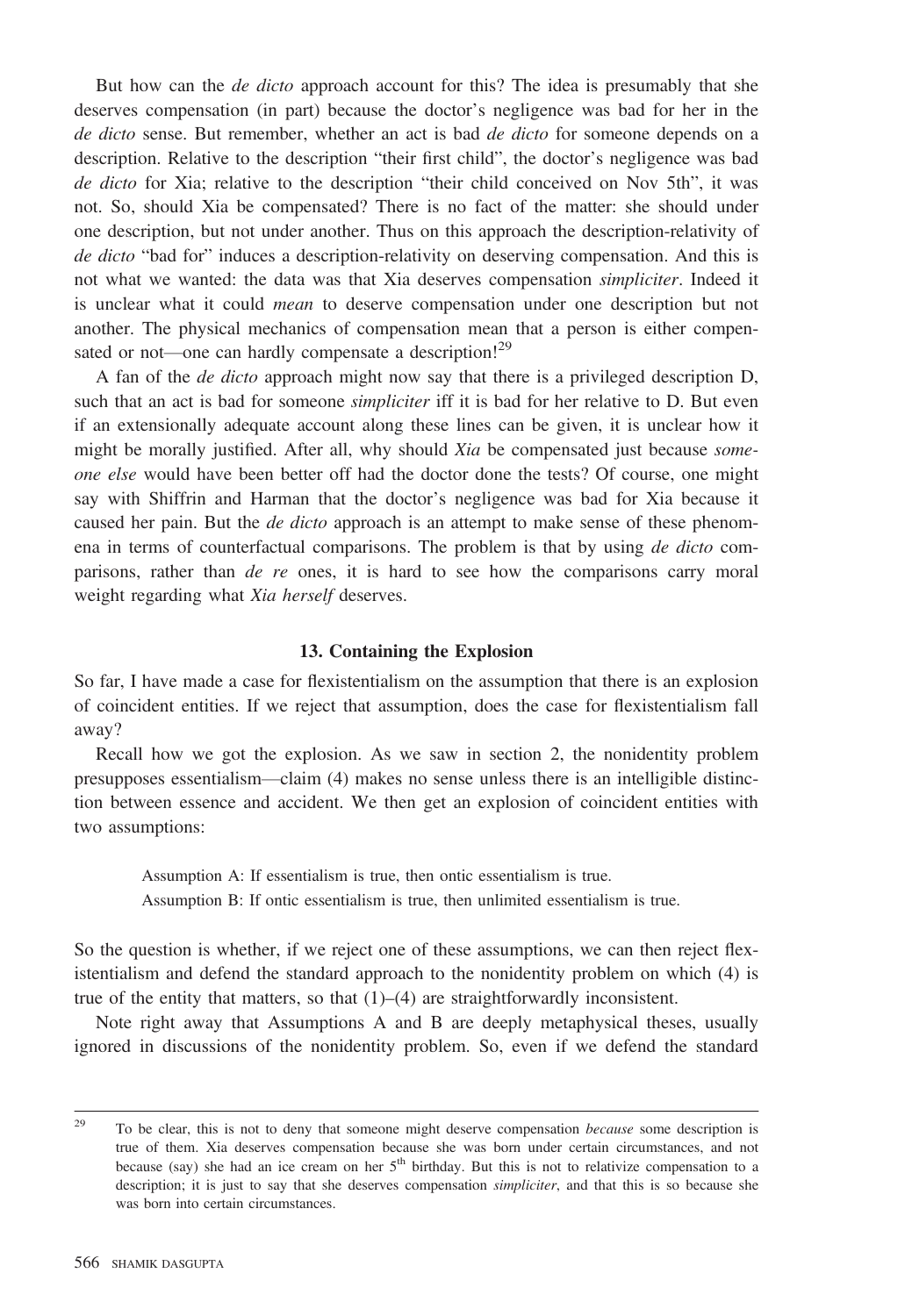But how can the de dicto approach account for this? The idea is presumably that she deserves compensation (in part) because the doctor's negligence was bad for her in the de dicto sense. But remember, whether an act is bad de dicto for someone depends on a description. Relative to the description "their first child", the doctor's negligence was bad de dicto for Xia; relative to the description "their child conceived on Nov 5th", it was not. So, should Xia be compensated? There is no fact of the matter: she should under one description, but not under another. Thus on this approach the description-relativity of de dicto "bad for" induces a description-relativity on deserving compensation. And this is not what we wanted: the data was that Xia deserves compensation simpliciter. Indeed it is unclear what it could *mean* to deserve compensation under one description but not another. The physical mechanics of compensation mean that a person is either compensated or not—one can hardly compensate a description!<sup>29</sup>

A fan of the de dicto approach might now say that there is a privileged description D, such that an act is bad for someone *simpliciter* iff it is bad for her relative to D. But even if an extensionally adequate account along these lines can be given, it is unclear how it might be morally justified. After all, why should Xia be compensated just because someone else would have been better off had the doctor done the tests? Of course, one might say with Shiffrin and Harman that the doctor's negligence was bad for Xia because it caused her pain. But the *de dicto* approach is an attempt to make sense of these phenomena in terms of counterfactual comparisons. The problem is that by using de dicto comparisons, rather than de re ones, it is hard to see how the comparisons carry moral weight regarding what Xia herself deserves.

#### 13. Containing the Explosion

So far, I have made a case for flexistentialism on the assumption that there is an explosion of coincident entities. If we reject that assumption, does the case for flexistentialism fall away?

Recall how we got the explosion. As we saw in section 2, the nonidentity problem presupposes essentialism—claim (4) makes no sense unless there is an intelligible distinction between essence and accident. We then get an explosion of coincident entities with two assumptions:

Assumption A: If essentialism is true, then ontic essentialism is true. Assumption B: If ontic essentialism is true, then unlimited essentialism is true.

So the question is whether, if we reject one of these assumptions, we can then reject flexistentialism and defend the standard approach to the nonidentity problem on which (4) is true of the entity that matters, so that (1)–(4) are straightforwardly inconsistent.

Note right away that Assumptions A and B are deeply metaphysical theses, usually ignored in discussions of the nonidentity problem. So, even if we defend the standard

<sup>&</sup>lt;sup>29</sup> To be clear, this is not to deny that someone might deserve compensation *because* some description is true of them. Xia deserves compensation because she was born under certain circumstances, and not because (say) she had an ice cream on her  $5<sup>th</sup>$  birthday. But this is not to relativize compensation to a description; it is just to say that she deserves compensation *simpliciter*, and that this is so because she was born into certain circumstances.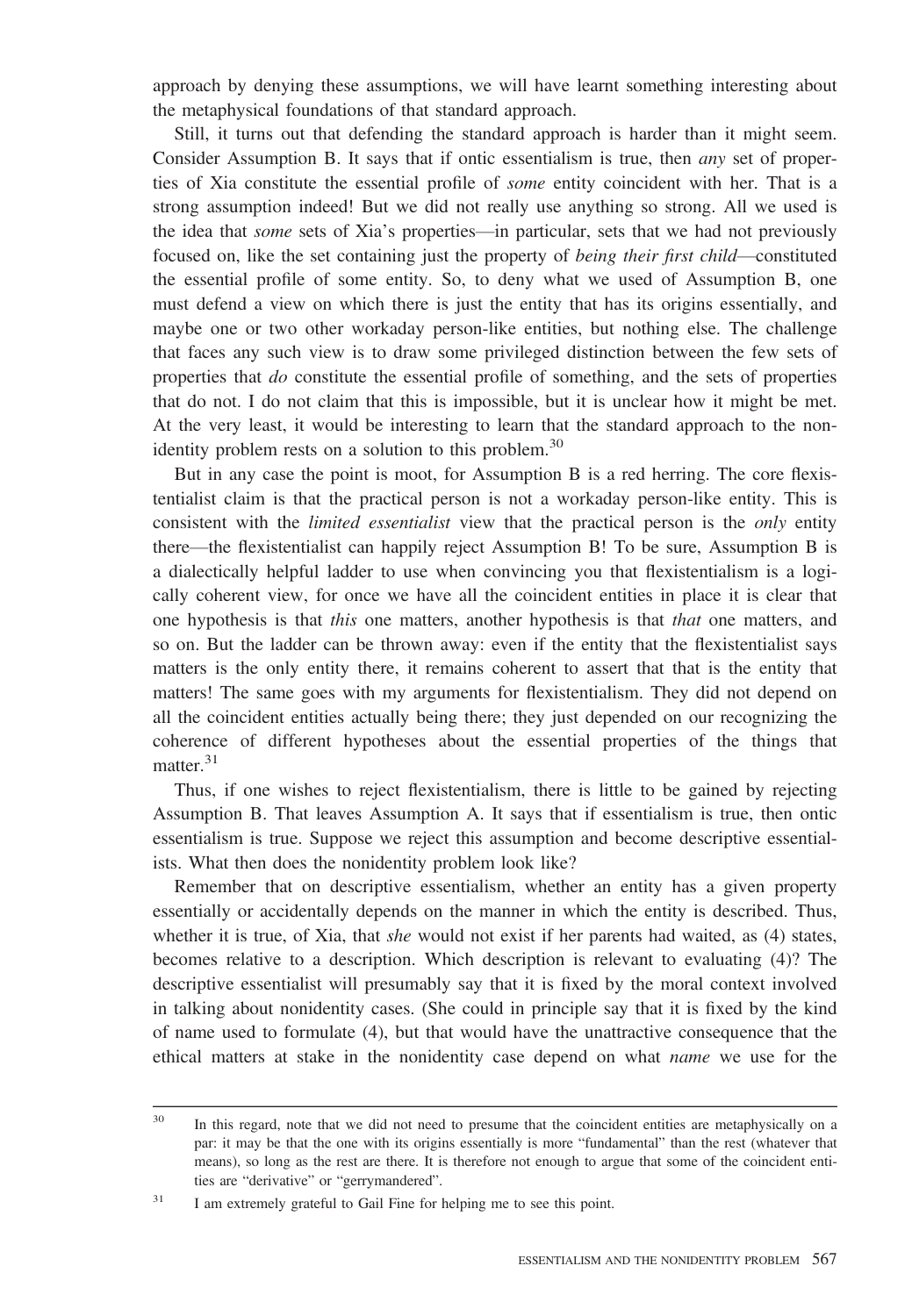approach by denying these assumptions, we will have learnt something interesting about the metaphysical foundations of that standard approach.

Still, it turns out that defending the standard approach is harder than it might seem. Consider Assumption B. It says that if ontic essentialism is true, then *any* set of properties of Xia constitute the essential profile of some entity coincident with her. That is a strong assumption indeed! But we did not really use anything so strong. All we used is the idea that some sets of Xia's properties—in particular, sets that we had not previously focused on, like the set containing just the property of being their first child—constituted the essential profile of some entity. So, to deny what we used of Assumption B, one must defend a view on which there is just the entity that has its origins essentially, and maybe one or two other workaday person-like entities, but nothing else. The challenge that faces any such view is to draw some privileged distinction between the few sets of properties that do constitute the essential profile of something, and the sets of properties that do not. I do not claim that this is impossible, but it is unclear how it might be met. At the very least, it would be interesting to learn that the standard approach to the nonidentity problem rests on a solution to this problem.<sup>30</sup>

But in any case the point is moot, for Assumption B is a red herring. The core flexistentialist claim is that the practical person is not a workaday person-like entity. This is consistent with the *limited essentialist* view that the practical person is the *only* entity there—the flexistentialist can happily reject Assumption B! To be sure, Assumption B is a dialectically helpful ladder to use when convincing you that flexistentialism is a logically coherent view, for once we have all the coincident entities in place it is clear that one hypothesis is that this one matters, another hypothesis is that that one matters, and so on. But the ladder can be thrown away: even if the entity that the flexistentialist says matters is the only entity there, it remains coherent to assert that that is the entity that matters! The same goes with my arguments for flexistentialism. They did not depend on all the coincident entities actually being there; they just depended on our recognizing the coherence of different hypotheses about the essential properties of the things that matter. $31$ 

Thus, if one wishes to reject flexistentialism, there is little to be gained by rejecting Assumption B. That leaves Assumption A. It says that if essentialism is true, then ontic essentialism is true. Suppose we reject this assumption and become descriptive essentialists. What then does the nonidentity problem look like?

Remember that on descriptive essentialism, whether an entity has a given property essentially or accidentally depends on the manner in which the entity is described. Thus, whether it is true, of Xia, that *she* would not exist if her parents had waited, as (4) states, becomes relative to a description. Which description is relevant to evaluating (4)? The descriptive essentialist will presumably say that it is fixed by the moral context involved in talking about nonidentity cases. (She could in principle say that it is fixed by the kind of name used to formulate (4), but that would have the unattractive consequence that the ethical matters at stake in the nonidentity case depend on what name we use for the

<sup>&</sup>lt;sup>30</sup> In this regard, note that we did not need to presume that the coincident entities are metaphysically on a par: it may be that the one with its origins essentially is more "fundamental" than the rest (whatever that means), so long as the rest are there. It is therefore not enough to argue that some of the coincident entities are "derivative" or "gerrymandered".

<sup>&</sup>lt;sup>31</sup> I am extremely grateful to Gail Fine for helping me to see this point.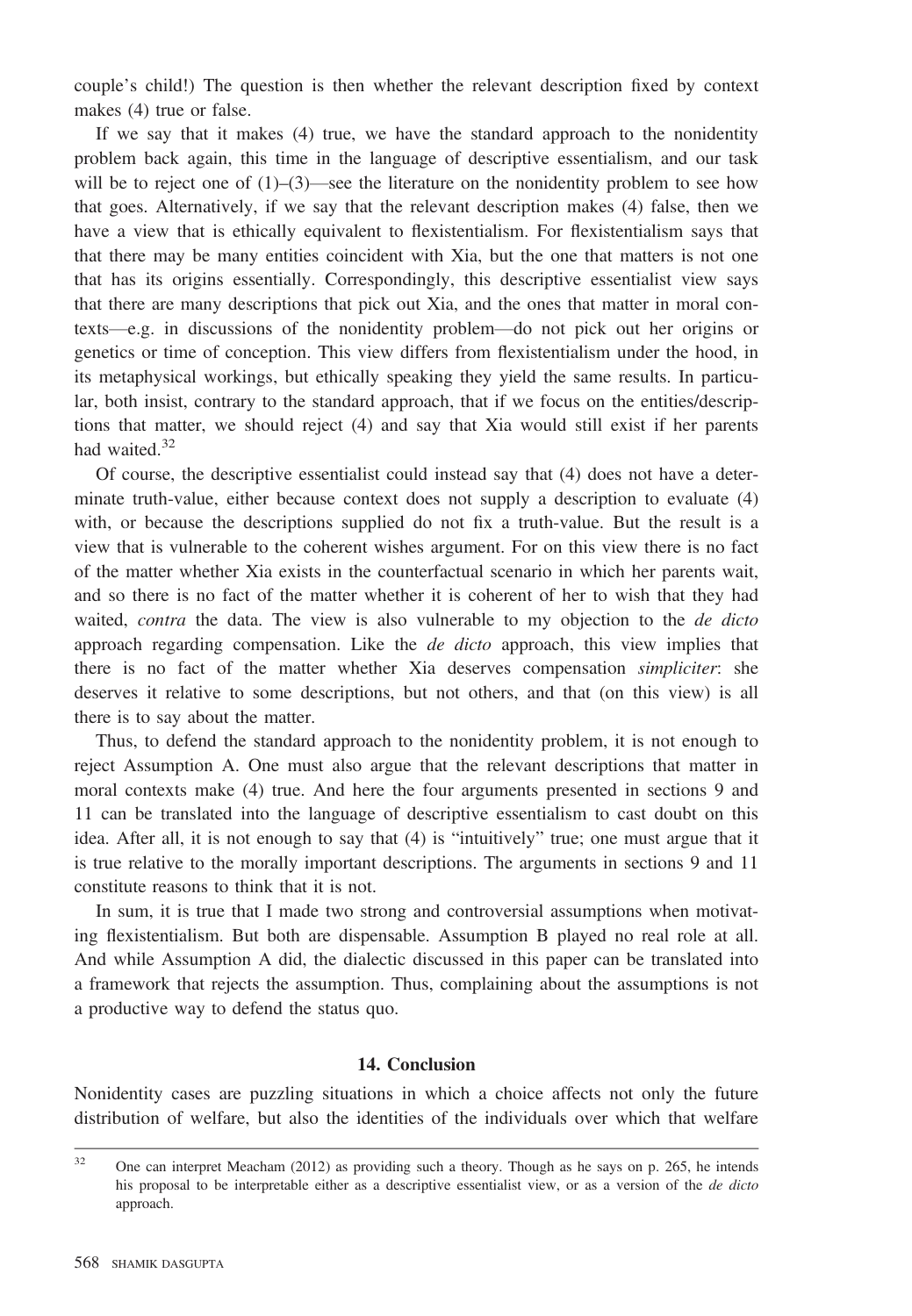couple's child!) The question is then whether the relevant description fixed by context makes (4) true or false.

If we say that it makes (4) true, we have the standard approach to the nonidentity problem back again, this time in the language of descriptive essentialism, and our task will be to reject one of  $(1)$ – $(3)$ —see the literature on the nonidentity problem to see how that goes. Alternatively, if we say that the relevant description makes (4) false, then we have a view that is ethically equivalent to flexistentialism. For flexistentialism says that that there may be many entities coincident with Xia, but the one that matters is not one that has its origins essentially. Correspondingly, this descriptive essentialist view says that there are many descriptions that pick out Xia, and the ones that matter in moral contexts—e.g. in discussions of the nonidentity problem—do not pick out her origins or genetics or time of conception. This view differs from flexistentialism under the hood, in its metaphysical workings, but ethically speaking they yield the same results. In particular, both insist, contrary to the standard approach, that if we focus on the entities/descriptions that matter, we should reject (4) and say that Xia would still exist if her parents had waited <sup>32</sup>

Of course, the descriptive essentialist could instead say that (4) does not have a determinate truth-value, either because context does not supply a description to evaluate (4) with, or because the descriptions supplied do not fix a truth-value. But the result is a view that is vulnerable to the coherent wishes argument. For on this view there is no fact of the matter whether Xia exists in the counterfactual scenario in which her parents wait, and so there is no fact of the matter whether it is coherent of her to wish that they had waited, *contra* the data. The view is also vulnerable to my objection to the *de dicto* approach regarding compensation. Like the de dicto approach, this view implies that there is no fact of the matter whether Xia deserves compensation simpliciter: she deserves it relative to some descriptions, but not others, and that (on this view) is all there is to say about the matter.

Thus, to defend the standard approach to the nonidentity problem, it is not enough to reject Assumption A. One must also argue that the relevant descriptions that matter in moral contexts make (4) true. And here the four arguments presented in sections 9 and 11 can be translated into the language of descriptive essentialism to cast doubt on this idea. After all, it is not enough to say that (4) is "intuitively" true; one must argue that it is true relative to the morally important descriptions. The arguments in sections 9 and 11 constitute reasons to think that it is not.

In sum, it is true that I made two strong and controversial assumptions when motivating flexistentialism. But both are dispensable. Assumption B played no real role at all. And while Assumption A did, the dialectic discussed in this paper can be translated into a framework that rejects the assumption. Thus, complaining about the assumptions is not a productive way to defend the status quo.

## 14. Conclusion

Nonidentity cases are puzzling situations in which a choice affects not only the future distribution of welfare, but also the identities of the individuals over which that welfare

<sup>&</sup>lt;sup>32</sup> One can interpret Meacham (2012) as providing such a theory. Though as he says on p. 265, he intends his proposal to be interpretable either as a descriptive essentialist view, or as a version of the de dicto approach.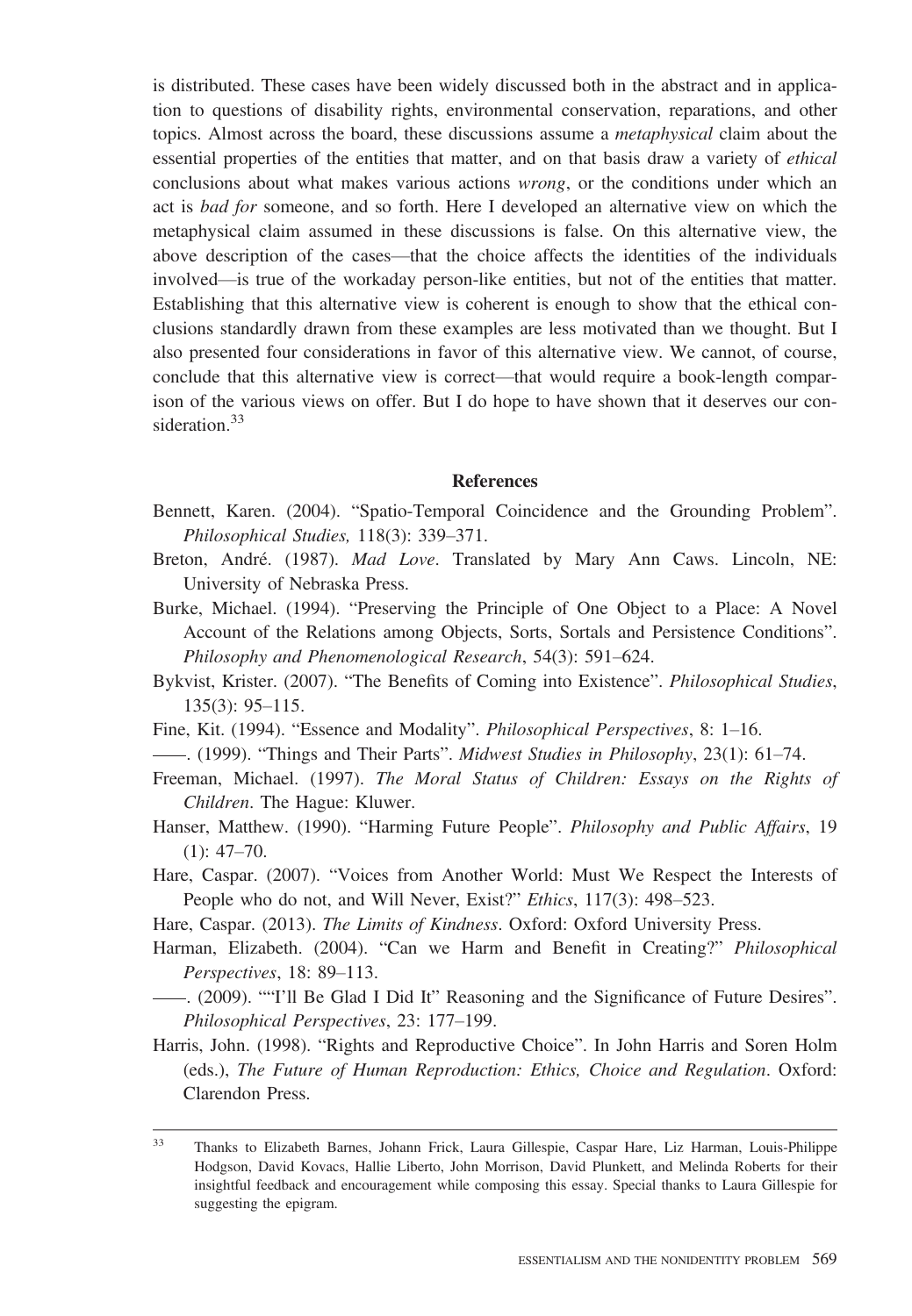is distributed. These cases have been widely discussed both in the abstract and in application to questions of disability rights, environmental conservation, reparations, and other topics. Almost across the board, these discussions assume a metaphysical claim about the essential properties of the entities that matter, and on that basis draw a variety of ethical conclusions about what makes various actions wrong, or the conditions under which an act is bad for someone, and so forth. Here I developed an alternative view on which the metaphysical claim assumed in these discussions is false. On this alternative view, the above description of the cases—that the choice affects the identities of the individuals involved—is true of the workaday person-like entities, but not of the entities that matter. Establishing that this alternative view is coherent is enough to show that the ethical conclusions standardly drawn from these examples are less motivated than we thought. But I also presented four considerations in favor of this alternative view. We cannot, of course, conclude that this alternative view is correct—that would require a book-length comparison of the various views on offer. But I do hope to have shown that it deserves our consideration.<sup>33</sup>

#### References

- Bennett, Karen. (2004). "Spatio-Temporal Coincidence and the Grounding Problem". Philosophical Studies, 118(3): 339–371.
- Breton, André. (1987). Mad Love. Translated by Mary Ann Caws. Lincoln, NE: University of Nebraska Press.
- Burke, Michael. (1994). "Preserving the Principle of One Object to a Place: A Novel Account of the Relations among Objects, Sorts, Sortals and Persistence Conditions". Philosophy and Phenomenological Research, 54(3): 591–624.
- Bykvist, Krister. (2007). "The Benefits of Coming into Existence". Philosophical Studies, 135(3): 95–115.
- Fine, Kit. (1994). "Essence and Modality". Philosophical Perspectives, 8: 1–16.
- . (1999). "Things and Their Parts". Midwest Studies in Philosophy, 23(1): 61–74.
- Freeman, Michael. (1997). The Moral Status of Children: Essays on the Rights of Children. The Hague: Kluwer.
- Hanser, Matthew. (1990). "Harming Future People". Philosophy and Public Affairs, 19  $(1): 47 - 70.$
- Hare, Caspar. (2007). "Voices from Another World: Must We Respect the Interests of People who do not, and Will Never, Exist?" *Ethics*, 117(3): 498–523.
- Hare, Caspar. (2013). The Limits of Kindness. Oxford: Oxford University Press.
- Harman, Elizabeth. (2004). "Can we Harm and Benefit in Creating?" Philosophical Perspectives, 18: 89–113.
- . (2009). ""I'll Be Glad I Did It" Reasoning and the Significance of Future Desires". Philosophical Perspectives, 23: 177–199.
- Harris, John. (1998). "Rights and Reproductive Choice". In John Harris and Soren Holm (eds.), The Future of Human Reproduction: Ethics, Choice and Regulation. Oxford: Clarendon Press.

<sup>33</sup> Thanks to Elizabeth Barnes, Johann Frick, Laura Gillespie, Caspar Hare, Liz Harman, Louis-Philippe Hodgson, David Kovacs, Hallie Liberto, John Morrison, David Plunkett, and Melinda Roberts for their insightful feedback and encouragement while composing this essay. Special thanks to Laura Gillespie for suggesting the epigram.